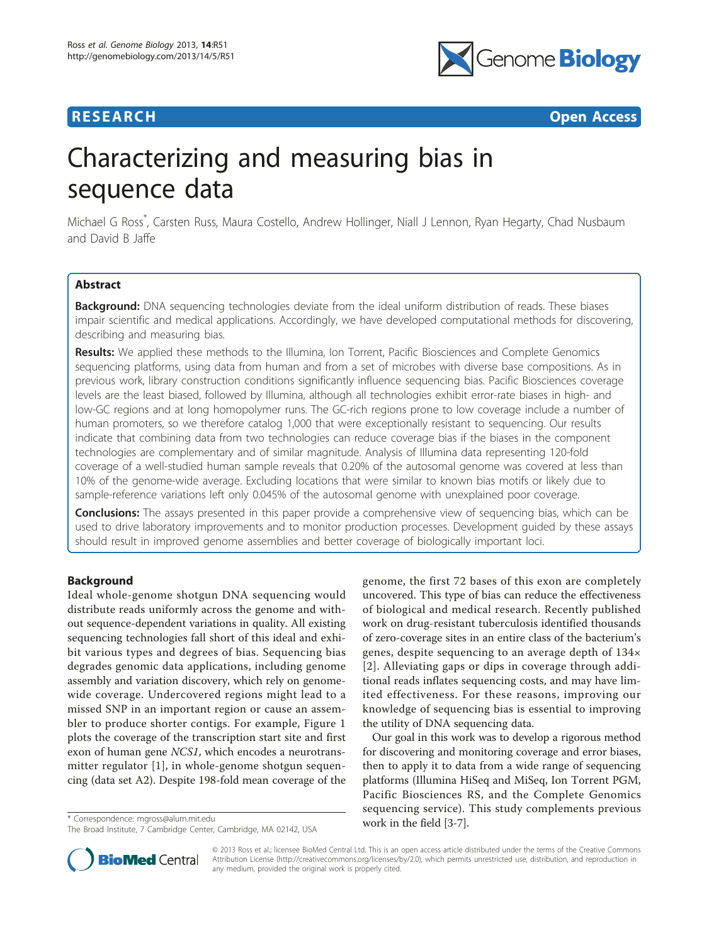

**RESEARCH CONTROL** CONTROL CONTROL CONTROL CONTROL CONTROL CONTROL CONTROL CONTROL CONTROL CONTROL CONTROL CONTROL CONTROL CONTROL CONTROL CONTROL CONTROL CONTROL CONTROL CONTROL CONTROL CONTROL CONTROL CONTROL CONTROL CON

# Characterizing and measuring bias in sequence data

Michael G Ross\* , Carsten Russ, Maura Costello, Andrew Hollinger, Niall J Lennon, Ryan Hegarty, Chad Nusbaum and David B Jaffe

# Abstract

Background: DNA sequencing technologies deviate from the ideal uniform distribution of reads. These biases impair scientific and medical applications. Accordingly, we have developed computational methods for discovering, describing and measuring bias.

Results: We applied these methods to the Illumina, Ion Torrent, Pacific Biosciences and Complete Genomics sequencing platforms, using data from human and from a set of microbes with diverse base compositions. As in previous work, library construction conditions significantly influence sequencing bias. Pacific Biosciences coverage levels are the least biased, followed by Illumina, although all technologies exhibit error-rate biases in high- and low-GC regions and at long homopolymer runs. The GC-rich regions prone to low coverage include a number of human promoters, so we therefore catalog 1,000 that were exceptionally resistant to sequencing. Our results indicate that combining data from two technologies can reduce coverage bias if the biases in the component technologies are complementary and of similar magnitude. Analysis of Illumina data representing 120-fold coverage of a well-studied human sample reveals that 0.20% of the autosomal genome was covered at less than 10% of the genome-wide average. Excluding locations that were similar to known bias motifs or likely due to sample-reference variations left only 0.045% of the autosomal genome with unexplained poor coverage.

**Conclusions:** The assays presented in this paper provide a comprehensive view of sequencing bias, which can be used to drive laboratory improvements and to monitor production processes. Development guided by these assays should result in improved genome assemblies and better coverage of biologically important loci.

# Background

Ideal whole-genome shotgun DNA sequencing would distribute reads uniformly across the genome and without sequence-dependent variations in quality. All existing sequencing technologies fall short of this ideal and exhibit various types and degrees of bias. Sequencing bias degrades genomic data applications, including genome assembly and variation discovery, which rely on genomewide coverage. Undercovered regions might lead to a missed SNP in an important region or cause an assembler to produce shorter contigs. For example, Figure [1](#page-1-0) plots the coverage of the transcription start site and first exon of human gene NCS1, which encodes a neurotransmitter regulator [[1\]](#page-17-0), in whole-genome shotgun sequencing (data set A2). Despite 198-fold mean coverage of the

genome, the first 72 bases of this exon are completely uncovered. This type of bias can reduce the effectiveness of biological and medical research. Recently published work on drug-resistant tuberculosis identified thousands of zero-coverage sites in an entire class of the bacterium's genes, despite sequencing to an average depth of 134× [[2](#page-17-0)]. Alleviating gaps or dips in coverage through additional reads inflates sequencing costs, and may have limited effectiveness. For these reasons, improving our knowledge of sequencing bias is essential to improving the utility of DNA sequencing data.

Our goal in this work was to develop a rigorous method for discovering and monitoring coverage and error biases, then to apply it to data from a wide range of sequencing platforms (Illumina HiSeq and MiSeq, Ion Torrent PGM, Pacific Biosciences RS, and the Complete Genomics sequencing service). This study complements previous



© 2013 Ross et al.; licensee BioMed Central Ltd. This is an open access article distributed under the terms of the Creative Commons Attribution License [\(http://creativecommons.org/licenses/by/2.0](http://creativecommons.org/licenses/by/2.0)), which permits unrestricted use, distribution, and reproduction in any medium, provided the original work is properly cited.

work in the field [\[3](#page-17-0)[-7](#page-18-0)]. \* Correspondence: [mgross@alum.mit.edu](mailto:mgross@alum.mit.edu) The Broad Institute, 7 Cambridge Center, Cambridge, MA 02142, USA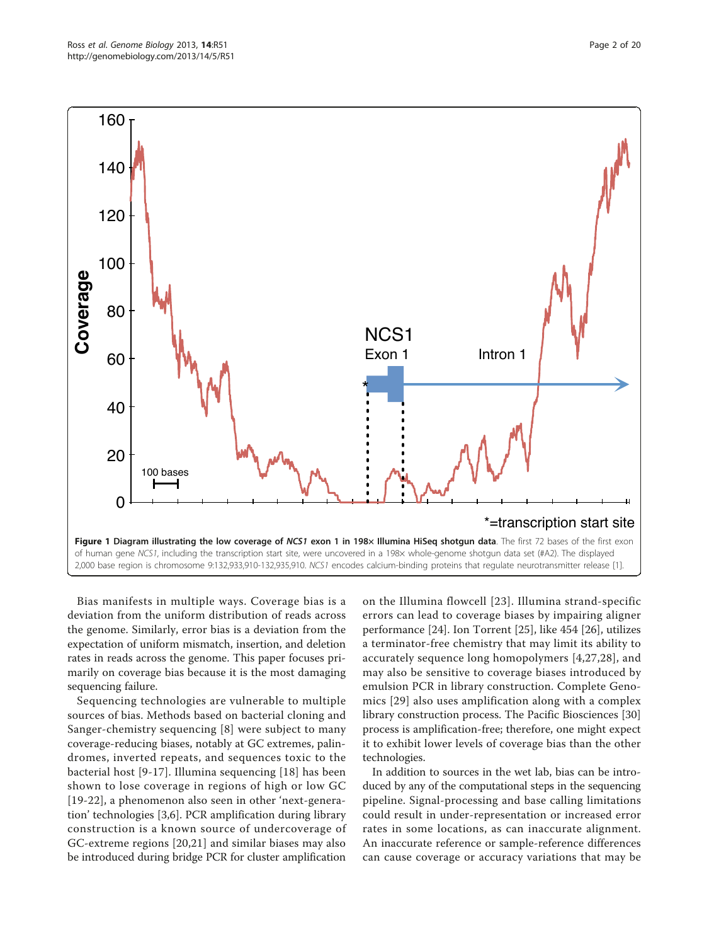Bias manifests in multiple ways. Coverage bias is a deviation from the uniform distribution of reads across the genome. Similarly, error bias is a deviation from the expectation of uniform mismatch, insertion, and deletion rates in reads across the genome. This paper focuses primarily on coverage bias because it is the most damaging sequencing failure.

Sequencing technologies are vulnerable to multiple sources of bias. Methods based on bacterial cloning and Sanger-chemistry sequencing [\[8\]](#page-18-0) were subject to many coverage-reducing biases, notably at GC extremes, palindromes, inverted repeats, and sequences toxic to the bacterial host [\[9-17](#page-18-0)]. Illumina sequencing [[18](#page-18-0)] has been shown to lose coverage in regions of high or low GC [[19](#page-18-0)-[22](#page-18-0)], a phenomenon also seen in other 'next-generation' technologies [[3,](#page-17-0)[6\]](#page-18-0). PCR amplification during library construction is a known source of undercoverage of GC-extreme regions [[20](#page-18-0),[21\]](#page-18-0) and similar biases may also be introduced during bridge PCR for cluster amplification

on the Illumina flowcell [[23](#page-18-0)]. Illumina strand-specific errors can lead to coverage biases by impairing aligner performance [[24\]](#page-18-0). Ion Torrent [[25\]](#page-18-0), like 454 [[26\]](#page-18-0), utilizes a terminator-free chemistry that may limit its ability to accurately sequence long homopolymers [[4](#page-17-0),[27,28\]](#page-18-0), and may also be sensitive to coverage biases introduced by emulsion PCR in library construction. Complete Genomics [[29](#page-18-0)] also uses amplification along with a complex library construction process. The Pacific Biosciences [[30](#page-18-0)] process is amplification-free; therefore, one might expect it to exhibit lower levels of coverage bias than the other technologies.

In addition to sources in the wet lab, bias can be introduced by any of the computational steps in the sequencing pipeline. Signal-processing and base calling limitations could result in under-representation or increased error rates in some locations, as can inaccurate alignment. An inaccurate reference or sample-reference differences can cause coverage or accuracy variations that may be

<span id="page-1-0"></span>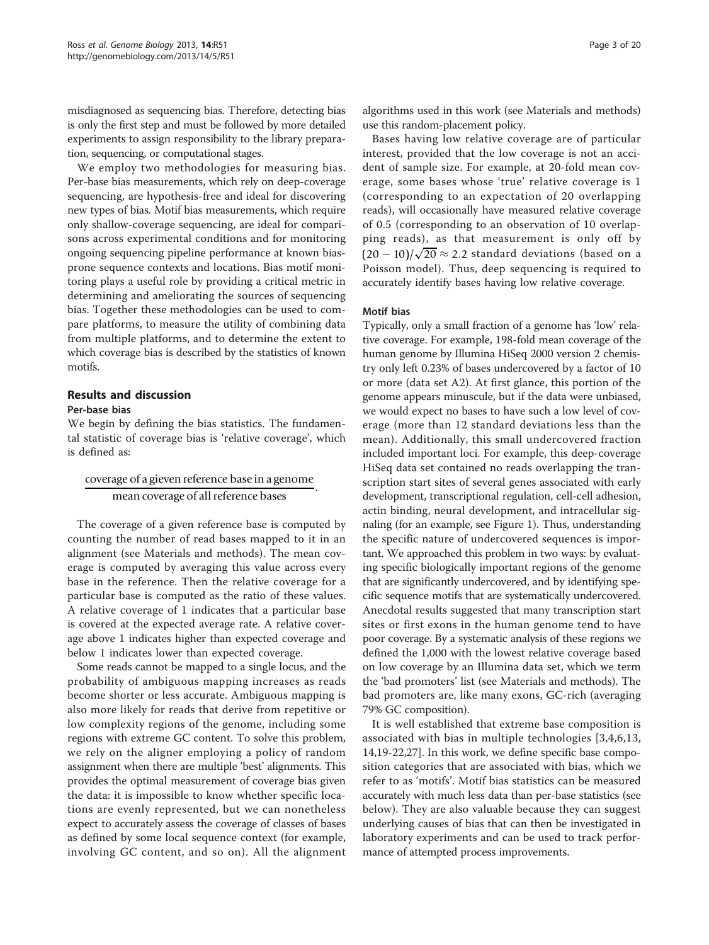misdiagnosed as sequencing bias. Therefore, detecting bias is only the first step and must be followed by more detailed experiments to assign responsibility to the library preparation, sequencing, or computational stages.

We employ two methodologies for measuring bias. Per-base bias measurements, which rely on deep-coverage sequencing, are hypothesis-free and ideal for discovering new types of bias. Motif bias measurements, which require only shallow-coverage sequencing, are ideal for comparisons across experimental conditions and for monitoring ongoing sequencing pipeline performance at known biasprone sequence contexts and locations. Bias motif monitoring plays a useful role by providing a critical metric in determining and ameliorating the sources of sequencing bias. Together these methodologies can be used to compare platforms, to measure the utility of combining data from multiple platforms, and to determine the extent to which coverage bias is described by the statistics of known motifs.

# Results and discussion

## Per-base bias

We begin by defining the bias statistics. The fundamental statistic of coverage bias is 'relative coverage', which is defined as:

# coverage of a gieven reference base in a genome mean coverage of all reference bases

The coverage of a given reference base is computed by counting the number of read bases mapped to it in an alignment (see Materials and methods). The mean coverage is computed by averaging this value across every base in the reference. Then the relative coverage for a particular base is computed as the ratio of these values. A relative coverage of 1 indicates that a particular base is covered at the expected average rate. A relative coverage above 1 indicates higher than expected coverage and below 1 indicates lower than expected coverage.

Some reads cannot be mapped to a single locus, and the probability of ambiguous mapping increases as reads become shorter or less accurate. Ambiguous mapping is also more likely for reads that derive from repetitive or low complexity regions of the genome, including some regions with extreme GC content. To solve this problem, we rely on the aligner employing a policy of random assignment when there are multiple 'best' alignments. This provides the optimal measurement of coverage bias given the data: it is impossible to know whether specific locations are evenly represented, but we can nonetheless expect to accurately assess the coverage of classes of bases as defined by some local sequence context (for example, involving GC content, and so on). All the alignment algorithms used in this work (see Materials and methods) use this random-placement policy.

Bases having low relative coverage are of particular interest, provided that the low coverage is not an accident of sample size. For example, at 20-fold mean coverage, some bases whose 'true' relative coverage is 1 (corresponding to an expectation of 20 overlapping reads), will occasionally have measured relative coverage of 0.5 (corresponding to an observation of 10 overlapping reads), as that measurement is only off by  $(20-10)/\sqrt{20} \approx 2.2$  standard deviations (based on a Poisson model). Thus, deep sequencing is required to accurately identify bases having low relative coverage.

## Motif bias

Typically, only a small fraction of a genome has 'low' relative coverage. For example, 198-fold mean coverage of the human genome by Illumina HiSeq 2000 version 2 chemistry only left 0.23% of bases undercovered by a factor of 10 or more (data set A2). At first glance, this portion of the genome appears minuscule, but if the data were unbiased, we would expect no bases to have such a low level of coverage (more than 12 standard deviations less than the mean). Additionally, this small undercovered fraction included important loci. For example, this deep-coverage HiSeq data set contained no reads overlapping the transcription start sites of several genes associated with early development, transcriptional regulation, cell-cell adhesion, actin binding, neural development, and intracellular signaling (for an example, see Figure [1\)](#page-1-0). Thus, understanding the specific nature of undercovered sequences is important. We approached this problem in two ways: by evaluating specific biologically important regions of the genome that are significantly undercovered, and by identifying specific sequence motifs that are systematically undercovered. Anecdotal results suggested that many transcription start sites or first exons in the human genome tend to have poor coverage. By a systematic analysis of these regions we defined the 1,000 with the lowest relative coverage based on low coverage by an Illumina data set, which we term the 'bad promoters' list (see Materials and methods). The bad promoters are, like many exons, GC-rich (averaging 79% GC composition).

It is well established that extreme base composition is associated with bias in multiple technologies [[3,4](#page-17-0),[6,13](#page-18-0), [14](#page-18-0),[19](#page-18-0)-[22](#page-18-0),[27](#page-18-0)]. In this work, we define specific base composition categories that are associated with bias, which we refer to as 'motifs'. Motif bias statistics can be measured accurately with much less data than per-base statistics (see below). They are also valuable because they can suggest underlying causes of bias that can then be investigated in laboratory experiments and can be used to track performance of attempted process improvements.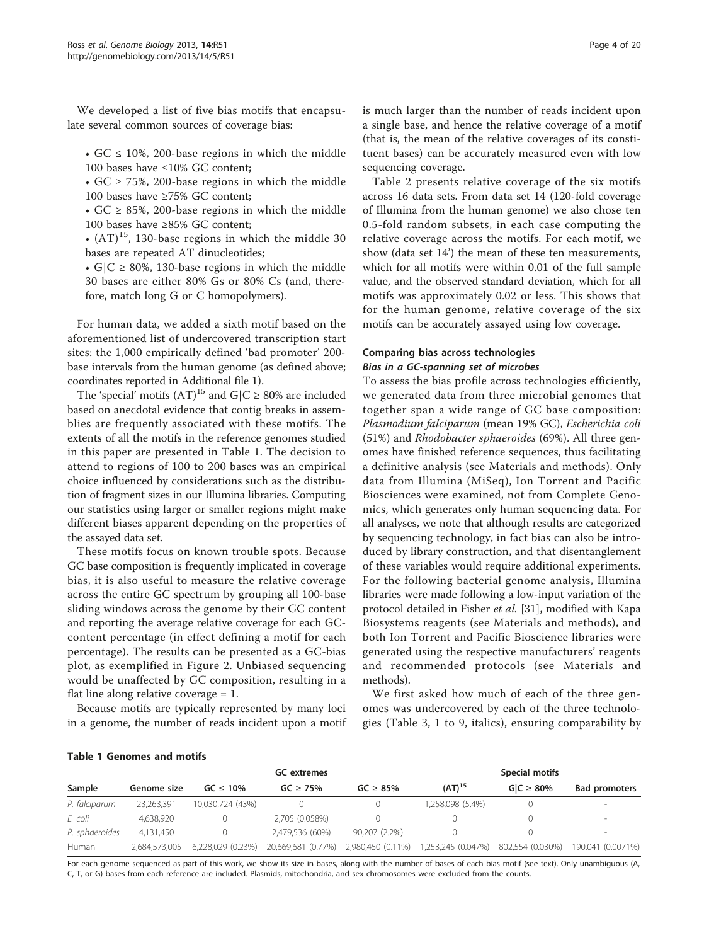<span id="page-3-0"></span>We developed a list of five bias motifs that encapsulate several common sources of coverage bias:

•  $GC \le 10\%$ , 200-base regions in which the middle 100 bases have ≤10% GC content;

•  $GC \ge 75\%$ , 200-base regions in which the middle 100 bases have ≥75% GC content;

•  $GC \geq 85\%$ , 200-base regions in which the middle 100 bases have ≥85% GC content;

•  $(AT)^{15}$ , 130-base regions in which the middle 30 bases are repeated AT dinucleotides;

• G|C  $\geq$  80%, 130-base regions in which the middle 30 bases are either 80% Gs or 80% Cs (and, therefore, match long G or C homopolymers).

For human data, we added a sixth motif based on the aforementioned list of undercovered transcription start sites: the 1,000 empirically defined 'bad promoter' 200 base intervals from the human genome (as defined above; coordinates reported in Additional file [1\)](#page-17-0).

The 'special' motifs  $(AT)^{15}$  and  $G/C \ge 80\%$  are included based on anecdotal evidence that contig breaks in assemblies are frequently associated with these motifs. The extents of all the motifs in the reference genomes studied in this paper are presented in Table 1. The decision to attend to regions of 100 to 200 bases was an empirical choice influenced by considerations such as the distribution of fragment sizes in our Illumina libraries. Computing our statistics using larger or smaller regions might make different biases apparent depending on the properties of the assayed data set.

These motifs focus on known trouble spots. Because GC base composition is frequently implicated in coverage bias, it is also useful to measure the relative coverage across the entire GC spectrum by grouping all 100-base sliding windows across the genome by their GC content and reporting the average relative coverage for each GCcontent percentage (in effect defining a motif for each percentage). The results can be presented as a GC-bias plot, as exemplified in Figure [2.](#page-4-0) Unbiased sequencing would be unaffected by GC composition, resulting in a flat line along relative coverage = 1.

Because motifs are typically represented by many loci in a genome, the number of reads incident upon a motif is much larger than the number of reads incident upon a single base, and hence the relative coverage of a motif (that is, the mean of the relative coverages of its constituent bases) can be accurately measured even with low sequencing coverage.

Table [2](#page-5-0) presents relative coverage of the six motifs across 16 data sets. From data set 14 (120-fold coverage of Illumina from the human genome) we also chose ten 0.5-fold random subsets, in each case computing the relative coverage across the motifs. For each motif, we show (data set 14') the mean of these ten measurements, which for all motifs were within 0.01 of the full sample value, and the observed standard deviation, which for all motifs was approximately 0.02 or less. This shows that for the human genome, relative coverage of the six motifs can be accurately assayed using low coverage.

# Comparing bias across technologies

To assess the bias profile across technologies efficiently, we generated data from three microbial genomes that together span a wide range of GC base composition: Plasmodium falciparum (mean 19% GC), Escherichia coli (51%) and Rhodobacter sphaeroides (69%). All three genomes have finished reference sequences, thus facilitating a definitive analysis (see Materials and methods). Only data from Illumina (MiSeq), Ion Torrent and Pacific Biosciences were examined, not from Complete Genomics, which generates only human sequencing data. For all analyses, we note that although results are categorized by sequencing technology, in fact bias can also be introduced by library construction, and that disentanglement of these variables would require additional experiments. For the following bacterial genome analysis, Illumina libraries were made following a low-input variation of the protocol detailed in Fisher et al. [[31\]](#page-18-0), modified with Kapa Biosystems reagents (see Materials and methods), and both Ion Torrent and Pacific Bioscience libraries were generated using the respective manufacturers' reagents and recommended protocols (see Materials and methods).

We first asked how much of each of the three genomes was undercovered by each of the three technologies (Table [3](#page-6-0), 1 to 9, italics), ensuring comparability by

### Table 1 Genomes and motifs

|                |               |                   | <b>GC</b> extremes | Special motifs    |                    |                  |                          |  |
|----------------|---------------|-------------------|--------------------|-------------------|--------------------|------------------|--------------------------|--|
| Sample         | Genome size   | $GC \leq 10\%$    | $GC \ge 75\%$      | $GC \geq 85\%$    | $(AT)^{15}$        | GIC $\geq 80\%$  | <b>Bad promoters</b>     |  |
| P. falciparum  | 23.263.391    | 10,030,724 (43%)  |                    |                   | 1,258,098 (5.4%)   |                  |                          |  |
| E. coli        | 4.638.920     |                   | 2,705 (0.058%)     |                   |                    |                  | $\overline{\phantom{a}}$ |  |
| R. sphaeroides | 4.131.450     |                   | 2.479.536 (60%)    | 90.207 (2.2%)     |                    |                  |                          |  |
| Human          | 2,684,573,005 | 6,228,029 (0.23%) | 20,669,681 (0.77%) | 2,980,450 (0.11%) | 1,253,245 (0.047%) | 802,554 (0.030%) | 190,041 (0.0071%)        |  |

For each genome sequenced as part of this work, we show its size in bases, along with the number of bases of each bias motif (see text). Only unambiguous (A, C, T, or G) bases from each reference are included. Plasmids, mitochondria, and sex chromosomes were excluded from the counts.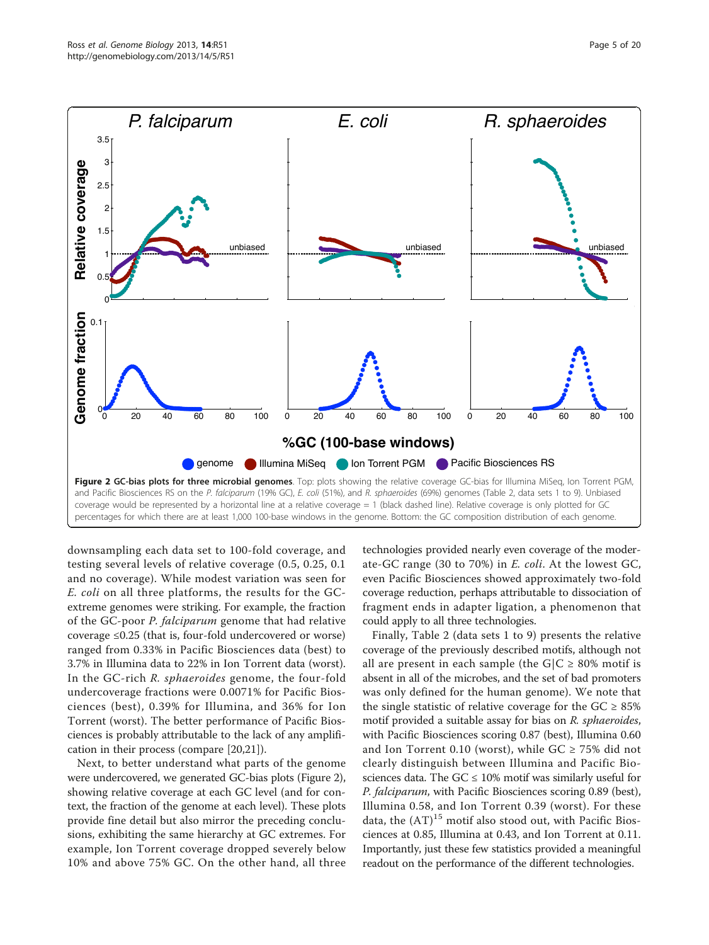<span id="page-4-0"></span>

downsampling each data set to 100-fold coverage, and testing several levels of relative coverage (0.5, 0.25, 0.1 and no coverage). While modest variation was seen for E. coli on all three platforms, the results for the GCextreme genomes were striking. For example, the fraction of the GC-poor P. falciparum genome that had relative coverage ≤0.25 (that is, four-fold undercovered or worse) ranged from 0.33% in Pacific Biosciences data (best) to 3.7% in Illumina data to 22% in Ion Torrent data (worst). In the GC-rich R. sphaeroides genome, the four-fold undercoverage fractions were 0.0071% for Pacific Biosciences (best), 0.39% for Illumina, and 36% for Ion Torrent (worst). The better performance of Pacific Biosciences is probably attributable to the lack of any amplification in their process (compare [[20,21\]](#page-18-0)).

Next, to better understand what parts of the genome were undercovered, we generated GC-bias plots (Figure 2), showing relative coverage at each GC level (and for context, the fraction of the genome at each level). These plots provide fine detail but also mirror the preceding conclusions, exhibiting the same hierarchy at GC extremes. For example, Ion Torrent coverage dropped severely below 10% and above 75% GC. On the other hand, all three

technologies provided nearly even coverage of the moderate-GC range (30 to 70%) in E. coli. At the lowest GC, even Pacific Biosciences showed approximately two-fold coverage reduction, perhaps attributable to dissociation of fragment ends in adapter ligation, a phenomenon that could apply to all three technologies.

Finally, Table [2](#page-5-0) (data sets 1 to 9) presents the relative coverage of the previously described motifs, although not all are present in each sample (the  $G/C \geq 80\%$  motif is absent in all of the microbes, and the set of bad promoters was only defined for the human genome). We note that the single statistic of relative coverage for the  $GC \geq 85\%$ motif provided a suitable assay for bias on R. sphaeroides, with Pacific Biosciences scoring 0.87 (best), Illumina 0.60 and Ion Torrent 0.10 (worst), while  $GC \ge 75\%$  did not clearly distinguish between Illumina and Pacific Biosciences data. The  $GC \leq 10\%$  motif was similarly useful for P. falciparum, with Pacific Biosciences scoring 0.89 (best), Illumina 0.58, and Ion Torrent 0.39 (worst). For these data, the  $(AT)^{15}$  motif also stood out, with Pacific Biosciences at 0.85, Illumina at 0.43, and Ion Torrent at 0.11. Importantly, just these few statistics provided a meaningful readout on the performance of the different technologies.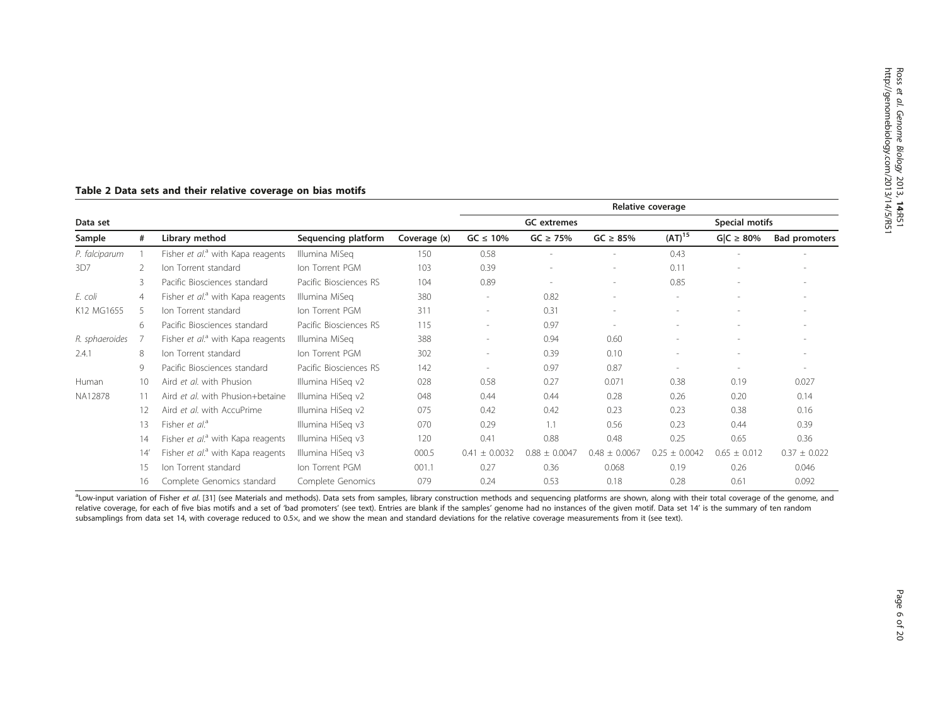|                |                |                                               | Relative coverage      |              |                          |                   |                          |                   |                  |                          |
|----------------|----------------|-----------------------------------------------|------------------------|--------------|--------------------------|-------------------|--------------------------|-------------------|------------------|--------------------------|
| Data set       |                |                                               |                        |              | <b>GC</b> extremes       |                   |                          | Special motifs    |                  |                          |
| Sample         | #              | Library method                                | Sequencing platform    | Coverage (x) | $GC \leq 10\%$           | $GC \geq 75\%$    | $GC \geq 85\%$           | $(AT)^{15}$       | $G/C \geq 80\%$  | <b>Bad promoters</b>     |
| P. falciparum  |                | Fisher et al. <sup>a</sup> with Kapa reagents | Illumina MiSeg         | 150          | 0.58                     |                   |                          | 0.43              |                  |                          |
| 3D7            | 2              | Ion Torrent standard                          | Ion Torrent PGM        | 103          | 0.39                     |                   | $\overline{a}$           | 0.11              |                  |                          |
|                | 3              | Pacific Biosciences standard                  | Pacific Biosciences RS | 104          | 0.89                     | $\sim$            | $\overline{\phantom{a}}$ | 0.85              |                  |                          |
| E. coli        | $\overline{4}$ | Fisher et al. <sup>a</sup> with Kapa reagents | Illumina MiSeg         | 380          | $\overline{\phantom{a}}$ | 0.82              |                          |                   |                  |                          |
| K12 MG1655     | 5              | Ion Torrent standard                          | Ion Torrent PGM        | 311          | $\overline{\phantom{a}}$ | 0.31              |                          |                   |                  |                          |
|                | 6              | Pacific Biosciences standard                  | Pacific Biosciences RS | 115          | $\sim$                   | 0.97              |                          |                   |                  |                          |
| R. sphaeroides |                | Fisher et al. <sup>a</sup> with Kapa reagents | Illumina MiSeg         | 388          | $\sim$                   | 0.94              | 0.60                     |                   |                  |                          |
| 2.4.1          | 8              | Ion Torrent standard                          | Ion Torrent PGM        | 302          | $\sim$                   | 0.39              | 0.10                     |                   |                  | $\sim$                   |
|                | 9              | Pacific Biosciences standard                  | Pacific Biosciences RS | 142          | $\overline{\phantom{a}}$ | 0.97              | 0.87                     |                   |                  | $\overline{\phantom{a}}$ |
| Human          | 10             | Aird et al. with Phusion                      | Illumina HiSeg v2      | 028          | 0.58                     | 0.27              | 0.071                    | 0.38              | 0.19             | 0.027                    |
| NA12878        | 11             | Aird et al. with Phusion+betaine              | Illumina HiSeg v2      | 048          | 0.44                     | 0.44              | 0.28                     | 0.26              | 0.20             | 0.14                     |
|                | 12             | Aird et al. with AccuPrime                    | Illumina HiSeg v2      | 075          | 0.42                     | 0.42              | 0.23                     | 0.23              | 0.38             | 0.16                     |
|                | 13             | Fisher et al. <sup>a</sup>                    | Illumina HiSeg v3      | 070          | 0.29                     | 1.1               | 0.56                     | 0.23              | 0.44             | 0.39                     |
|                | 14             | Fisher et al. <sup>a</sup> with Kapa reagents | Illumina HiSeg v3      | 120          | 0.41                     | 0.88              | 0.48                     | 0.25              | 0.65             | 0.36                     |
|                | 14'            | Fisher et al. <sup>a</sup> with Kapa reagents | Illumina HiSeg v3      | 000.5        | $0.41 \pm 0.0032$        | $0.88 \pm 0.0047$ | $0.48 \pm 0.0067$        | $0.25 \pm 0.0042$ | $0.65 \pm 0.012$ | $0.37 \pm 0.022$         |
|                | 15             | Ion Torrent standard                          | Ion Torrent PGM        | 001.1        | 0.27                     | 0.36              | 0.068                    | 0.19              | 0.26             | 0.046                    |
|                | 16             | Complete Genomics standard                    | Complete Genomics      | 079          | 0.24                     | 0.53              | 0.18                     | 0.28              | 0.61             | 0.092                    |

# <span id="page-5-0"></span>Table 2 Data sets and their relative coverage on bias motifs

<sup>a</sup>Low-input variation of Fisher et al. [\[31](#page-18-0)] (see Materials and methods). Data sets from samples, library construction methods and sequencing platforms are shown, along with their total coverage of the genome, and relative coverage, for each of five bias motifs and a set of 'bad promoters' (see text). Entries are blank if the samples' genome had no instances of the given motif. Data set 14' is the summary of ten random subsamplings from data set 14, with coverage reduced to 0.5×, and we show the mean and standard deviations for the relative coverage measurements from it (see text).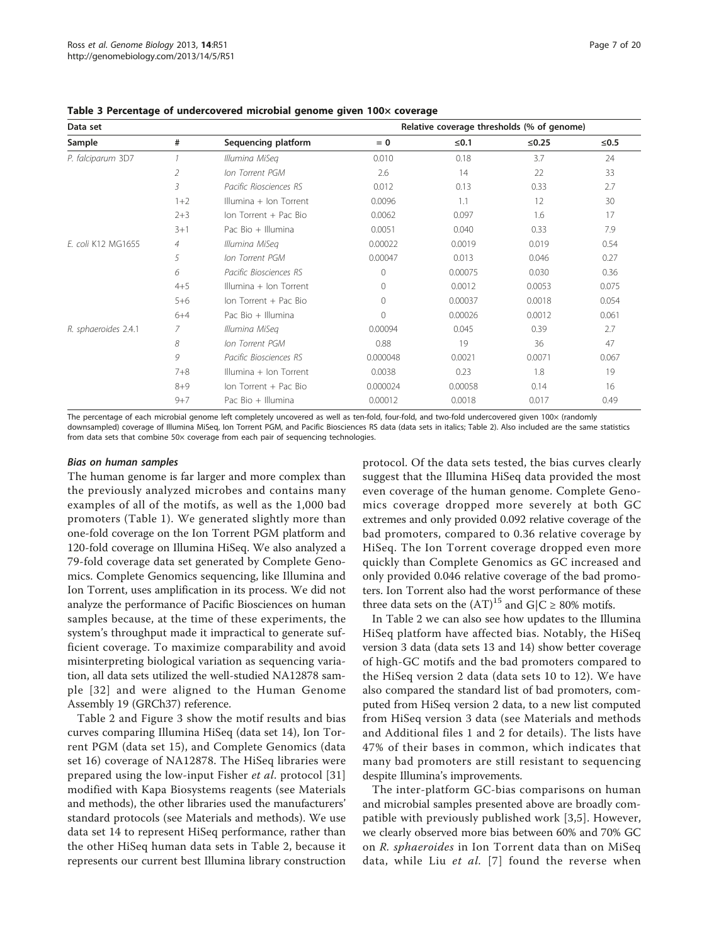| Data set             |                |                        | Relative coverage thresholds (% of genome) |         |         |        |  |  |
|----------------------|----------------|------------------------|--------------------------------------------|---------|---------|--------|--|--|
| Sample               | #              | Sequencing platform    | $= 0$                                      | $≤0.1$  | $≤0.25$ | $≤0.5$ |  |  |
| P. falciparum 3D7    | $\mathcal{I}$  | Illumina MiSeg         | 0.010                                      | 0.18    | 3.7     | 24     |  |  |
|                      | $\overline{2}$ | Ion Torrent PGM        | 2.6                                        | 14      | 22      | 33     |  |  |
|                      | 3              | Pacific Riosciences RS | 0.012                                      | 0.13    | 0.33    | 2.7    |  |  |
|                      | $1+2$          | Illumina + Ion Torrent | 0.0096                                     | 1.1     | 12      | 30     |  |  |
|                      | $2 + 3$        | Ion Torrent + Pac Bio  | 0.0062                                     | 0.097   | 1.6     | 17     |  |  |
|                      | $3 + 1$        | Pac Bio + Illumina     | 0.0051                                     | 0.040   | 0.33    | 7.9    |  |  |
| E. coli K12 MG1655   | $\overline{4}$ | Illumina MiSeg         | 0.00022                                    | 0.0019  | 0.019   | 0.54   |  |  |
|                      | 5              | Ion Torrent PGM        | 0.00047                                    | 0.013   | 0.046   | 0.27   |  |  |
|                      | 6              | Pacific Biosciences RS | $\circ$                                    | 0.00075 | 0.030   | 0.36   |  |  |
|                      | $4 + 5$        | Illumina + Ion Torrent | $\Omega$                                   | 0.0012  | 0.0053  | 0.075  |  |  |
|                      | $5 + 6$        | Ion Torrent + Pac Bio  | $\bigcap$                                  | 0.00037 | 0.0018  | 0.054  |  |  |
|                      | $6 + 4$        | Pac Bio + Illumina     | $\Omega$                                   | 0.00026 | 0.0012  | 0.061  |  |  |
| R. sphaeroides 2.4.1 | 7              | Illumina MiSeg         | 0.00094                                    | 0.045   | 0.39    | 2.7    |  |  |
|                      | 8              | Ion Torrent PGM        | 0.88                                       | 19      | 36      | 47     |  |  |
|                      | 9              | Pacific Biosciences RS | 0.000048                                   | 0.0021  | 0.0071  | 0.067  |  |  |
|                      | $7 + 8$        | Illumina + Ion Torrent | 0.0038                                     | 0.23    | 1.8     | 19     |  |  |
|                      | $8 + 9$        | Ion Torrent + Pac Bio  | 0.000024                                   | 0.00058 | 0.14    | 16     |  |  |
|                      | $9 + 7$        | Pac Bio + Illumina     | 0.00012                                    | 0.0018  | 0.017   | 0.49   |  |  |

<span id="page-6-0"></span>Table 3 Percentage of undercovered microbial genome given 100× coverage

The percentage of each microbial genome left completely uncovered as well as ten-fold, four-fold, and two-fold undercovered given 100× (randomly downsampled) coverage of Illumina MiSeq, Ion Torrent PGM, and Pacific Biosciences RS data (data sets in italics; Table 2). Also included are the same statistics from data sets that combine 50× coverage from each pair of sequencing technologies.

The human genome is far larger and more complex than the previously analyzed microbes and contains many examples of all of the motifs, as well as the 1,000 bad promoters (Table [1](#page-3-0)). We generated slightly more than one-fold coverage on the Ion Torrent PGM platform and 120-fold coverage on Illumina HiSeq. We also analyzed a 79-fold coverage data set generated by Complete Genomics. Complete Genomics sequencing, like Illumina and Ion Torrent, uses amplification in its process. We did not analyze the performance of Pacific Biosciences on human samples because, at the time of these experiments, the system's throughput made it impractical to generate sufficient coverage. To maximize comparability and avoid misinterpreting biological variation as sequencing variation, all data sets utilized the well-studied NA12878 sample [[32](#page-18-0)] and were aligned to the Human Genome Assembly 19 (GRCh37) reference.

Table [2](#page-5-0) and Figure [3](#page-7-0) show the motif results and bias curves comparing Illumina HiSeq (data set 14), Ion Torrent PGM (data set 15), and Complete Genomics (data set 16) coverage of NA12878. The HiSeq libraries were prepared using the low-input Fisher et al. protocol [\[31](#page-18-0)] modified with Kapa Biosystems reagents (see Materials and methods), the other libraries used the manufacturers' standard protocols (see Materials and methods). We use data set 14 to represent HiSeq performance, rather than the other HiSeq human data sets in Table [2](#page-5-0), because it represents our current best Illumina library construction protocol. Of the data sets tested, the bias curves clearly suggest that the Illumina HiSeq data provided the most even coverage of the human genome. Complete Genomics coverage dropped more severely at both GC extremes and only provided 0.092 relative coverage of the bad promoters, compared to 0.36 relative coverage by HiSeq. The Ion Torrent coverage dropped even more quickly than Complete Genomics as GC increased and only provided 0.046 relative coverage of the bad promoters. Ion Torrent also had the worst performance of these three data sets on the  $(AT)^{15}$  and  $G/C \ge 80\%$  motifs.

In Table [2](#page-5-0) we can also see how updates to the Illumina HiSeq platform have affected bias. Notably, the HiSeq version 3 data (data sets 13 and 14) show better coverage of high-GC motifs and the bad promoters compared to the HiSeq version 2 data (data sets 10 to 12). We have also compared the standard list of bad promoters, computed from HiSeq version 2 data, to a new list computed from HiSeq version 3 data (see Materials and methods and Additional files [1](#page-17-0) and [2](#page-17-0) for details). The lists have 47% of their bases in common, which indicates that many bad promoters are still resistant to sequencing despite Illumina's improvements.

The inter-platform GC-bias comparisons on human and microbial samples presented above are broadly compatible with previously published work [[3](#page-17-0),[5\]](#page-17-0). However, we clearly observed more bias between 60% and 70% GC on R. sphaeroides in Ion Torrent data than on MiSeq data, while Liu et al. [[7\]](#page-18-0) found the reverse when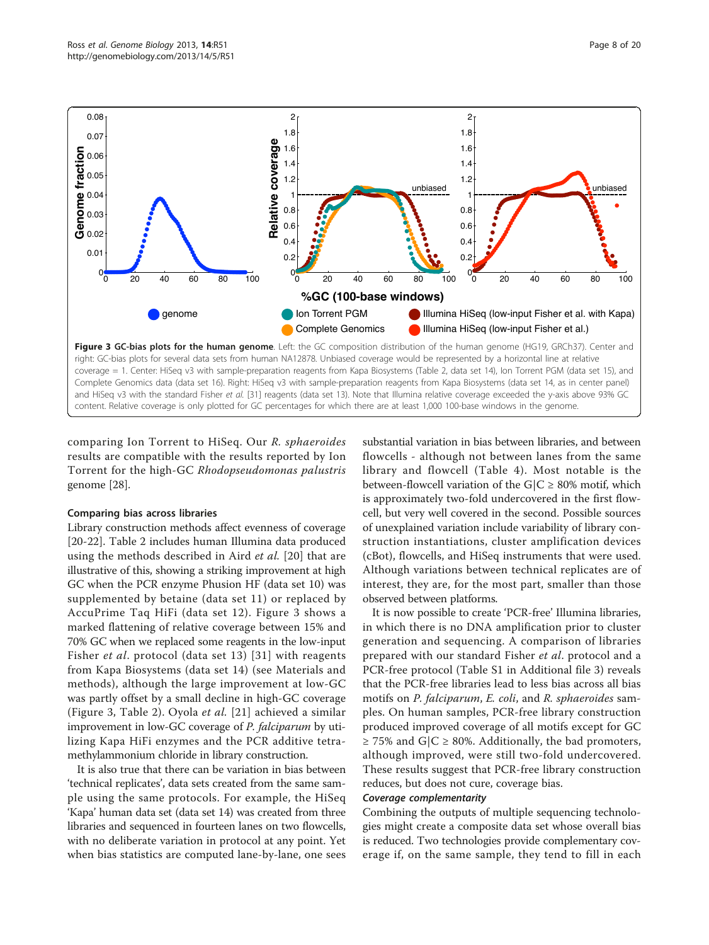<span id="page-7-0"></span>

comparing Ion Torrent to HiSeq. Our R. sphaeroides results are compatible with the results reported by Ion Torrent for the high-GC Rhodopseudomonas palustris genome [[28](#page-18-0)].

## Comparing bias across libraries

Library construction methods affect evenness of coverage [[20-22](#page-18-0)]. Table [2](#page-5-0) includes human Illumina data produced using the methods described in Aird et al. [[20\]](#page-18-0) that are illustrative of this, showing a striking improvement at high GC when the PCR enzyme Phusion HF (data set 10) was supplemented by betaine (data set 11) or replaced by AccuPrime Taq HiFi (data set 12). Figure 3 shows a marked flattening of relative coverage between 15% and 70% GC when we replaced some reagents in the low-input Fisher et al. protocol (data set 13) [\[31](#page-18-0)] with reagents from Kapa Biosystems (data set 14) (see Materials and methods), although the large improvement at low-GC was partly offset by a small decline in high-GC coverage (Figure 3, Table [2\)](#page-5-0). Oyola et al. [[21\]](#page-18-0) achieved a similar improvement in low-GC coverage of P. falciparum by utilizing Kapa HiFi enzymes and the PCR additive tetramethylammonium chloride in library construction.

It is also true that there can be variation in bias between 'technical replicates', data sets created from the same sample using the same protocols. For example, the HiSeq 'Kapa' human data set (data set 14) was created from three libraries and sequenced in fourteen lanes on two flowcells, with no deliberate variation in protocol at any point. Yet when bias statistics are computed lane-by-lane, one sees substantial variation in bias between libraries, and between flowcells - although not between lanes from the same library and flowcell (Table [4](#page-8-0)). Most notable is the between-flowcell variation of the  $G/C \geq 80\%$  motif, which is approximately two-fold undercovered in the first flowcell, but very well covered in the second. Possible sources of unexplained variation include variability of library construction instantiations, cluster amplification devices (cBot), flowcells, and HiSeq instruments that were used. Although variations between technical replicates are of interest, they are, for the most part, smaller than those observed between platforms.

It is now possible to create 'PCR-free' Illumina libraries, in which there is no DNA amplification prior to cluster generation and sequencing. A comparison of libraries prepared with our standard Fisher et al. protocol and a PCR-free protocol (Table S1 in Additional file [3](#page-17-0)) reveals that the PCR-free libraries lead to less bias across all bias motifs on P. falciparum, E. coli, and R. sphaeroides samples. On human samples, PCR-free library construction produced improved coverage of all motifs except for GC  $\geq$  75% and G|C  $\geq$  80%. Additionally, the bad promoters, although improved, were still two-fold undercovered. These results suggest that PCR-free library construction reduces, but does not cure, coverage bias.

Combining the outputs of multiple sequencing technologies might create a composite data set whose overall bias is reduced. Two technologies provide complementary coverage if, on the same sample, they tend to fill in each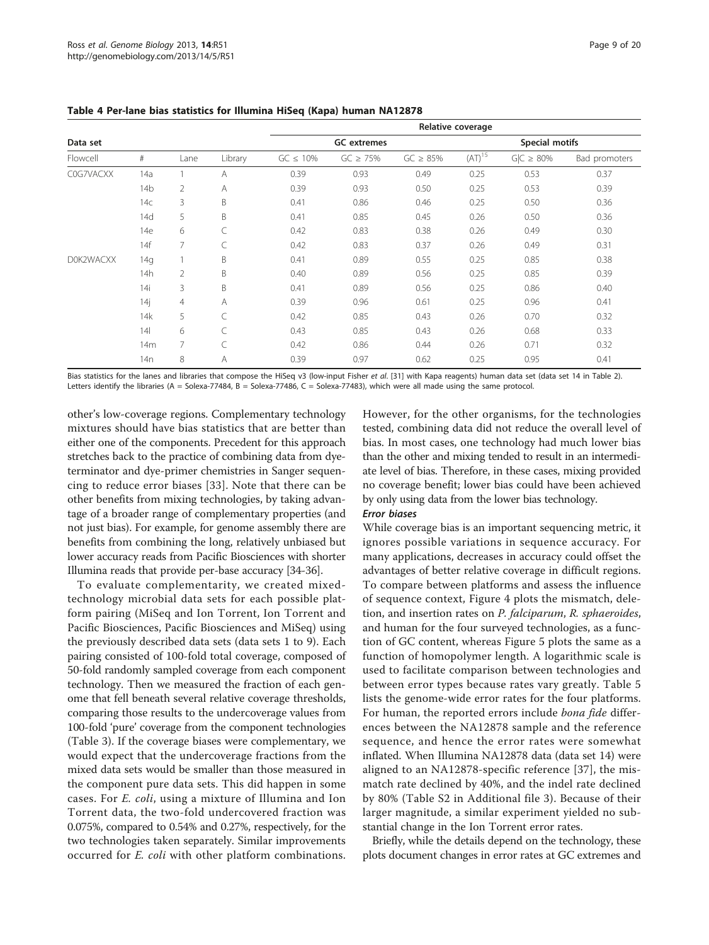|           |                 |                |         | Relative coverage |                    |                |                |                 |               |  |
|-----------|-----------------|----------------|---------|-------------------|--------------------|----------------|----------------|-----------------|---------------|--|
| Data set  |                 |                |         |                   | <b>GC</b> extremes |                | Special motifs |                 |               |  |
| Flowcell  | #               | Lane           | Library | $GC \leq 10\%$    | $GC \geq 75\%$     | $GC \geq 85\%$ | $(AT)^{15}$    | $G/C \geq 80\%$ | Bad promoters |  |
| C0G7VACXX | 14a             |                | A       | 0.39              | 0.93               | 0.49           | 0.25           | 0.53            | 0.37          |  |
|           | 14 <sub>b</sub> | $\overline{2}$ | A       | 0.39              | 0.93               | 0.50           | 0.25           | 0.53            | 0.39          |  |
|           | 14c             | 3              | B       | 0.41              | 0.86               | 0.46           | 0.25           | 0.50            | 0.36          |  |
|           | 14d             | 5              | B       | 0.41              | 0.85               | 0.45           | 0.26           | 0.50            | 0.36          |  |
|           | 14e             | 6              | C       | 0.42              | 0.83               | 0.38           | 0.26           | 0.49            | 0.30          |  |
|           | 14f             | 7              | C       | 0.42              | 0.83               | 0.37           | 0.26           | 0.49            | 0.31          |  |
| D0K2WACXX | 14q             |                | B       | 0.41              | 0.89               | 0.55           | 0.25           | 0.85            | 0.38          |  |
|           | 14h             | $\overline{2}$ | B       | 0.40              | 0.89               | 0.56           | 0.25           | 0.85            | 0.39          |  |
|           | 14i             | 3              | B       | 0.41              | 0.89               | 0.56           | 0.25           | 0.86            | 0.40          |  |
|           | 14j             | $\overline{4}$ | A       | 0.39              | 0.96               | 0.61           | 0.25           | 0.96            | 0.41          |  |
|           | 14k             | 5              | C       | 0.42              | 0.85               | 0.43           | 0.26           | 0.70            | 0.32          |  |
|           | 4               | 6              | C       | 0.43              | 0.85               | 0.43           | 0.26           | 0.68            | 0.33          |  |
|           | 14m             | $\overline{7}$ | C       | 0.42              | 0.86               | 0.44           | 0.26           | 0.71            | 0.32          |  |
|           | 14n             | 8              | A       | 0.39              | 0.97               | 0.62           | 0.25           | 0.95            | 0.41          |  |

<span id="page-8-0"></span>Table 4 Per-lane bias statistics for Illumina HiSeq (Kapa) human NA12878

Bias statistics for the lanes and libraries that compose the HiSeq v3 (low-input Fisher et al. [\[31](#page-18-0)] with Kapa reagents) human data set (data set 14 in Table 2). Letters identify the libraries (A = Solexa-77484, B = Solexa-77486, C = Solexa-77483), which were all made using the same protocol.

other's low-coverage regions. Complementary technology mixtures should have bias statistics that are better than either one of the components. Precedent for this approach stretches back to the practice of combining data from dyeterminator and dye-primer chemistries in Sanger sequencing to reduce error biases [[33](#page-18-0)]. Note that there can be other benefits from mixing technologies, by taking advantage of a broader range of complementary properties (and not just bias). For example, for genome assembly there are benefits from combining the long, relatively unbiased but lower accuracy reads from Pacific Biosciences with shorter Illumina reads that provide per-base accuracy [[34](#page-18-0)-[36](#page-18-0)].

To evaluate complementarity, we created mixedtechnology microbial data sets for each possible platform pairing (MiSeq and Ion Torrent, Ion Torrent and Pacific Biosciences, Pacific Biosciences and MiSeq) using the previously described data sets (data sets 1 to 9). Each pairing consisted of 100-fold total coverage, composed of 50-fold randomly sampled coverage from each component technology. Then we measured the fraction of each genome that fell beneath several relative coverage thresholds, comparing those results to the undercoverage values from 100-fold 'pure' coverage from the component technologies (Table [3\)](#page-6-0). If the coverage biases were complementary, we would expect that the undercoverage fractions from the mixed data sets would be smaller than those measured in the component pure data sets. This did happen in some cases. For E. coli, using a mixture of Illumina and Ion Torrent data, the two-fold undercovered fraction was 0.075%, compared to 0.54% and 0.27%, respectively, for the two technologies taken separately. Similar improvements occurred for E. coli with other platform combinations. However, for the other organisms, for the technologies tested, combining data did not reduce the overall level of bias. In most cases, one technology had much lower bias than the other and mixing tended to result in an intermediate level of bias. Therefore, in these cases, mixing provided no coverage benefit; lower bias could have been achieved by only using data from the lower bias technology.

# **Error biases**

While coverage bias is an important sequencing metric, it ignores possible variations in sequence accuracy. For many applications, decreases in accuracy could offset the advantages of better relative coverage in difficult regions. To compare between platforms and assess the influence of sequence context, Figure [4](#page-9-0) plots the mismatch, deletion, and insertion rates on P. falciparum, R. sphaeroides, and human for the four surveyed technologies, as a function of GC content, whereas Figure [5](#page-10-0) plots the same as a function of homopolymer length. A logarithmic scale is used to facilitate comparison between technologies and between error types because rates vary greatly. Table [5](#page-11-0) lists the genome-wide error rates for the four platforms. For human, the reported errors include bona fide differences between the NA12878 sample and the reference sequence, and hence the error rates were somewhat inflated. When Illumina NA12878 data (data set 14) were aligned to an NA12878-specific reference [\[37](#page-18-0)], the mismatch rate declined by 40%, and the indel rate declined by 80% (Table S2 in Additional file [3\)](#page-17-0). Because of their larger magnitude, a similar experiment yielded no substantial change in the Ion Torrent error rates.

Briefly, while the details depend on the technology, these plots document changes in error rates at GC extremes and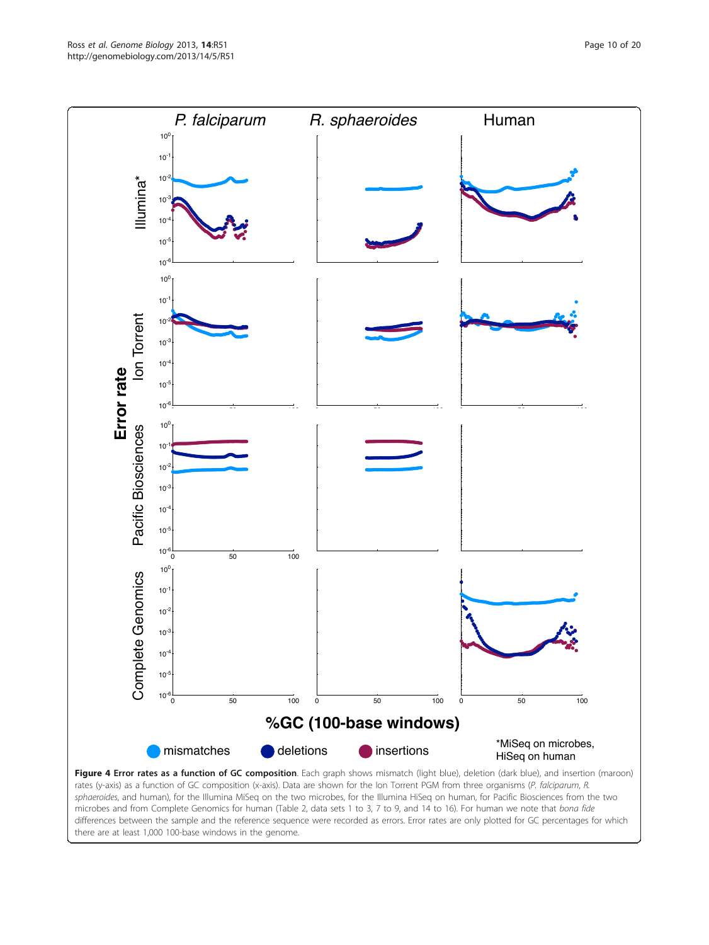<span id="page-9-0"></span>

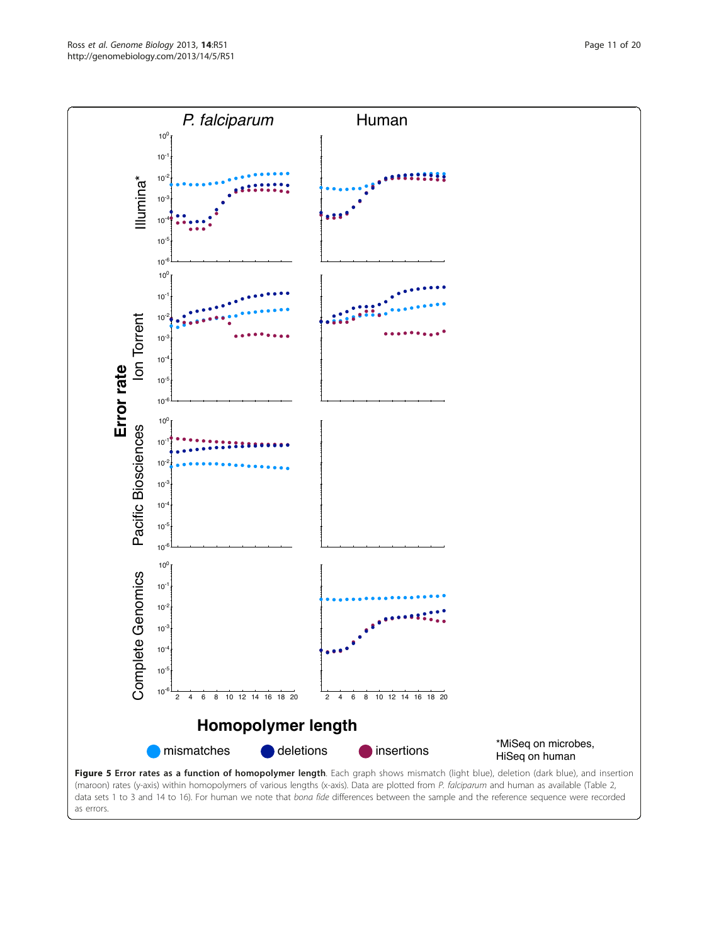<span id="page-10-0"></span>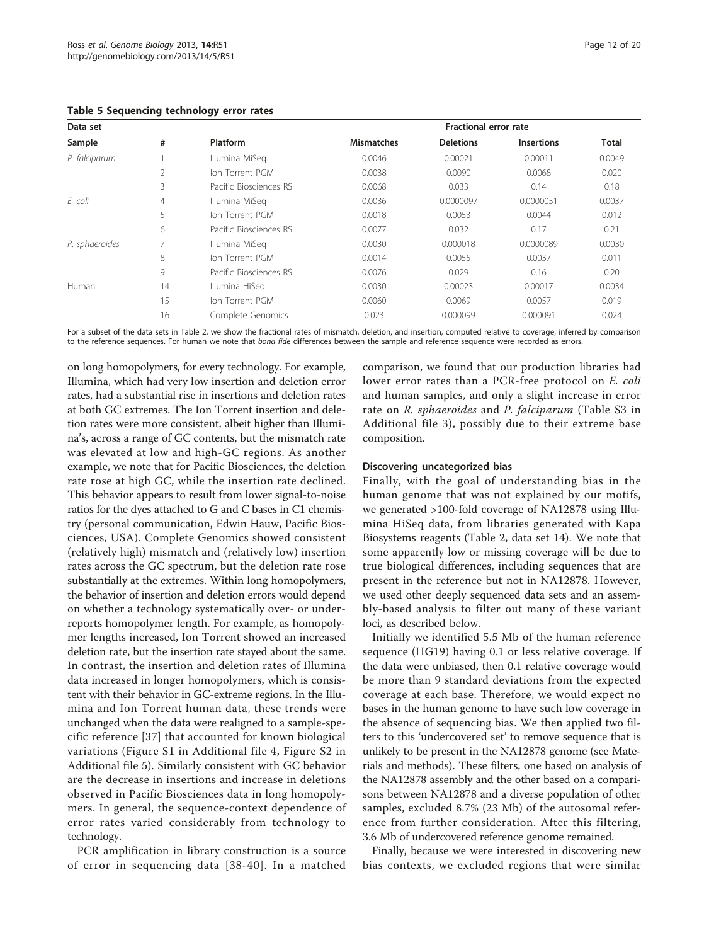| Data set       |                |                        | <b>Fractional error rate</b> |                  |                   |              |  |  |
|----------------|----------------|------------------------|------------------------------|------------------|-------------------|--------------|--|--|
| Sample         | #              | Platform               | <b>Mismatches</b>            | <b>Deletions</b> | <b>Insertions</b> | <b>Total</b> |  |  |
| P. falciparum  |                | Illumina MiSeg         | 0.0046                       | 0.00021          | 0.00011           | 0.0049       |  |  |
|                | $\overline{2}$ | Ion Torrent PGM        | 0.0038                       | 0.0090           | 0.0068            | 0.020        |  |  |
|                | 3              | Pacific Biosciences RS | 0.0068                       | 0.033            | 0.14              | 0.18         |  |  |
| E. coli        | $\overline{4}$ | Illumina MiSeg         | 0.0036                       | 0.0000097        | 0.0000051         | 0.0037       |  |  |
|                | 5              | Ion Torrent PGM        | 0.0018                       | 0.0053           | 0.0044            | 0.012        |  |  |
|                | 6              | Pacific Biosciences RS | 0.0077                       | 0.032            | 0.17              | 0.21         |  |  |
| R. sphaeroides |                | Illumina MiSeg         | 0.0030                       | 0.000018         | 0.0000089         | 0.0030       |  |  |
|                | 8              | Ion Torrent PGM        | 0.0014                       | 0.0055           | 0.0037            | 0.011        |  |  |
|                | 9              | Pacific Biosciences RS | 0.0076                       | 0.029            | 0.16              | 0.20         |  |  |
| Human          | 14             | Illumina HiSeg         | 0.0030                       | 0.00023          | 0.00017           | 0.0034       |  |  |
|                | 15             | Ion Torrent PGM        | 0.0060                       | 0.0069           | 0.0057            | 0.019        |  |  |
|                | 16             | Complete Genomics      | 0.023                        | 0.000099         | 0.000091          | 0.024        |  |  |

### <span id="page-11-0"></span>Table 5 Sequencing technology error rates

For a subset of the data sets in Table 2, we show the fractional rates of mismatch, deletion, and insertion, computed relative to coverage, inferred by comparison to the reference sequences. For human we note that bona fide differences between the sample and reference sequence were recorded as errors.

on long homopolymers, for every technology. For example, Illumina, which had very low insertion and deletion error rates, had a substantial rise in insertions and deletion rates at both GC extremes. The Ion Torrent insertion and deletion rates were more consistent, albeit higher than Illumina's, across a range of GC contents, but the mismatch rate was elevated at low and high-GC regions. As another example, we note that for Pacific Biosciences, the deletion rate rose at high GC, while the insertion rate declined. This behavior appears to result from lower signal-to-noise ratios for the dyes attached to G and C bases in C1 chemistry (personal communication, Edwin Hauw, Pacific Biosciences, USA). Complete Genomics showed consistent (relatively high) mismatch and (relatively low) insertion rates across the GC spectrum, but the deletion rate rose substantially at the extremes. Within long homopolymers, the behavior of insertion and deletion errors would depend on whether a technology systematically over- or underreports homopolymer length. For example, as homopolymer lengths increased, Ion Torrent showed an increased deletion rate, but the insertion rate stayed about the same. In contrast, the insertion and deletion rates of Illumina data increased in longer homopolymers, which is consistent with their behavior in GC-extreme regions. In the Illumina and Ion Torrent human data, these trends were unchanged when the data were realigned to a sample-specific reference [\[37](#page-18-0)] that accounted for known biological variations (Figure S1 in Additional file [4,](#page-17-0) Figure S2 in Additional file [5](#page-17-0)). Similarly consistent with GC behavior are the decrease in insertions and increase in deletions observed in Pacific Biosciences data in long homopolymers. In general, the sequence-context dependence of error rates varied considerably from technology to technology.

PCR amplification in library construction is a source of error in sequencing data [[38-40](#page-18-0)]. In a matched

comparison, we found that our production libraries had lower error rates than a PCR-free protocol on E. coli and human samples, and only a slight increase in error rate on R. sphaeroides and P. falciparum (Table S3 in Additional file [3\)](#page-17-0), possibly due to their extreme base composition.

### Discovering uncategorized bias

Finally, with the goal of understanding bias in the human genome that was not explained by our motifs, we generated >100-fold coverage of NA12878 using Illumina HiSeq data, from libraries generated with Kapa Biosystems reagents (Table [2,](#page-5-0) data set 14). We note that some apparently low or missing coverage will be due to true biological differences, including sequences that are present in the reference but not in NA12878. However, we used other deeply sequenced data sets and an assembly-based analysis to filter out many of these variant loci, as described below.

Initially we identified 5.5 Mb of the human reference sequence (HG19) having 0.1 or less relative coverage. If the data were unbiased, then 0.1 relative coverage would be more than 9 standard deviations from the expected coverage at each base. Therefore, we would expect no bases in the human genome to have such low coverage in the absence of sequencing bias. We then applied two filters to this 'undercovered set' to remove sequence that is unlikely to be present in the NA12878 genome (see Materials and methods). These filters, one based on analysis of the NA12878 assembly and the other based on a comparisons between NA12878 and a diverse population of other samples, excluded 8.7% (23 Mb) of the autosomal reference from further consideration. After this filtering, 3.6 Mb of undercovered reference genome remained.

Finally, because we were interested in discovering new bias contexts, we excluded regions that were similar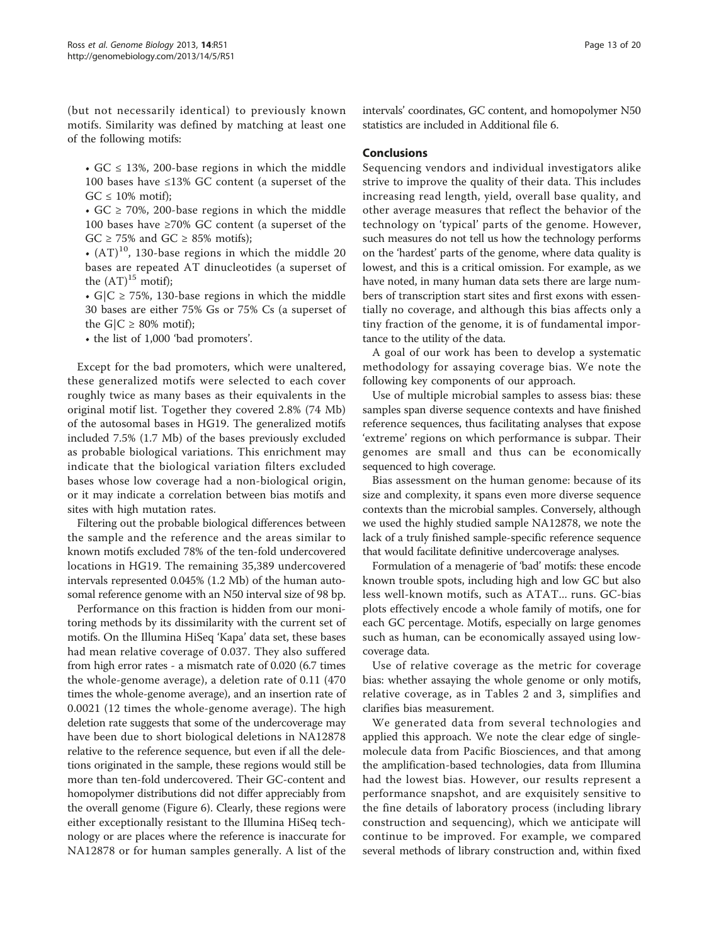(but not necessarily identical) to previously known motifs. Similarity was defined by matching at least one of the following motifs:

•  $GC \leq 13\%$ , 200-base regions in which the middle 100 bases have ≤13% GC content (a superset of the  $GC \leq 10\%$  motif);

•  $GC \ge 70\%$ , 200-base regions in which the middle 100 bases have ≥70% GC content (a superset of the  $GC \ge 75\%$  and  $GC \ge 85\%$  motifs);

•  $(AT)^{10}$ , 130-base regions in which the middle 20 bases are repeated AT dinucleotides (a superset of the  $(AT)^{15}$  motif);

• G|C  $\geq$  75%, 130-base regions in which the middle 30 bases are either 75% Gs or 75% Cs (a superset of the G|C  $\geq$  80% motif);

• the list of 1,000 'bad promoters'.

Except for the bad promoters, which were unaltered, these generalized motifs were selected to each cover roughly twice as many bases as their equivalents in the original motif list. Together they covered 2.8% (74 Mb) of the autosomal bases in HG19. The generalized motifs included 7.5% (1.7 Mb) of the bases previously excluded as probable biological variations. This enrichment may indicate that the biological variation filters excluded bases whose low coverage had a non-biological origin, or it may indicate a correlation between bias motifs and sites with high mutation rates.

Filtering out the probable biological differences between the sample and the reference and the areas similar to known motifs excluded 78% of the ten-fold undercovered locations in HG19. The remaining 35,389 undercovered intervals represented 0.045% (1.2 Mb) of the human autosomal reference genome with an N50 interval size of 98 bp.

Performance on this fraction is hidden from our monitoring methods by its dissimilarity with the current set of motifs. On the Illumina HiSeq 'Kapa' data set, these bases had mean relative coverage of 0.037. They also suffered from high error rates - a mismatch rate of 0.020 (6.7 times the whole-genome average), a deletion rate of 0.11 (470 times the whole-genome average), and an insertion rate of 0.0021 (12 times the whole-genome average). The high deletion rate suggests that some of the undercoverage may have been due to short biological deletions in NA12878 relative to the reference sequence, but even if all the deletions originated in the sample, these regions would still be more than ten-fold undercovered. Their GC-content and homopolymer distributions did not differ appreciably from the overall genome (Figure [6\)](#page-13-0). Clearly, these regions were either exceptionally resistant to the Illumina HiSeq technology or are places where the reference is inaccurate for NA12878 or for human samples generally. A list of the

intervals' coordinates, GC content, and homopolymer N50 statistics are included in Additional file [6](#page-17-0).

## Conclusions

Sequencing vendors and individual investigators alike strive to improve the quality of their data. This includes increasing read length, yield, overall base quality, and other average measures that reflect the behavior of the technology on 'typical' parts of the genome. However, such measures do not tell us how the technology performs on the 'hardest' parts of the genome, where data quality is lowest, and this is a critical omission. For example, as we have noted, in many human data sets there are large numbers of transcription start sites and first exons with essentially no coverage, and although this bias affects only a tiny fraction of the genome, it is of fundamental importance to the utility of the data.

A goal of our work has been to develop a systematic methodology for assaying coverage bias. We note the following key components of our approach.

Use of multiple microbial samples to assess bias: these samples span diverse sequence contexts and have finished reference sequences, thus facilitating analyses that expose 'extreme' regions on which performance is subpar. Their genomes are small and thus can be economically sequenced to high coverage.

Bias assessment on the human genome: because of its size and complexity, it spans even more diverse sequence contexts than the microbial samples. Conversely, although we used the highly studied sample NA12878, we note the lack of a truly finished sample-specific reference sequence that would facilitate definitive undercoverage analyses.

Formulation of a menagerie of 'bad' motifs: these encode known trouble spots, including high and low GC but also less well-known motifs, such as ATAT... runs. GC-bias plots effectively encode a whole family of motifs, one for each GC percentage. Motifs, especially on large genomes such as human, can be economically assayed using lowcoverage data.

Use of relative coverage as the metric for coverage bias: whether assaying the whole genome or only motifs, relative coverage, as in Tables [2](#page-5-0) and [3,](#page-6-0) simplifies and clarifies bias measurement.

We generated data from several technologies and applied this approach. We note the clear edge of singlemolecule data from Pacific Biosciences, and that among the amplification-based technologies, data from Illumina had the lowest bias. However, our results represent a performance snapshot, and are exquisitely sensitive to the fine details of laboratory process (including library construction and sequencing), which we anticipate will continue to be improved. For example, we compared several methods of library construction and, within fixed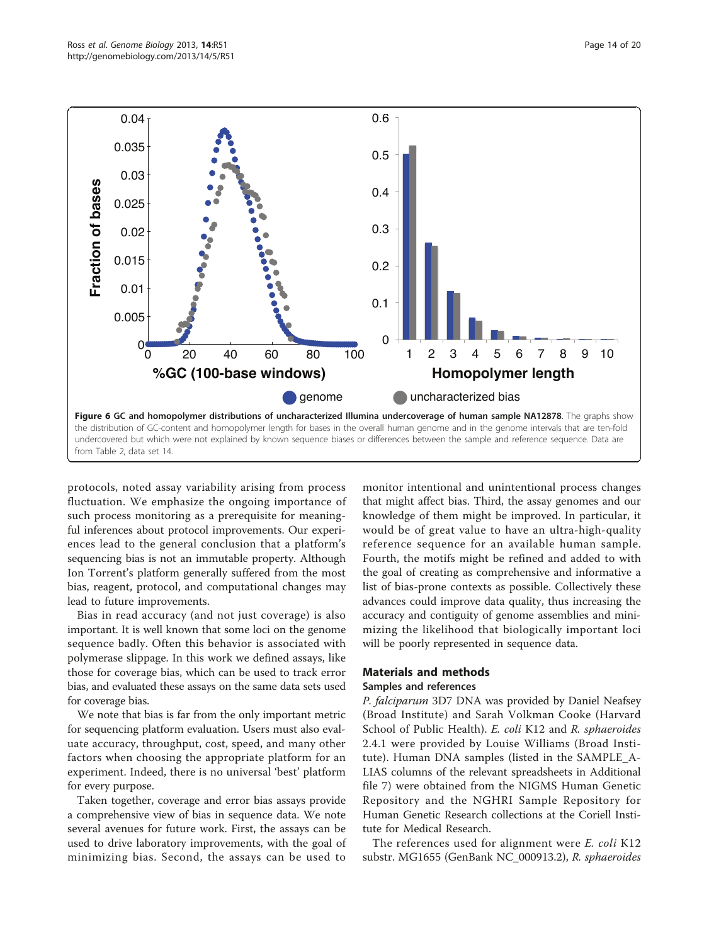<span id="page-13-0"></span>

protocols, noted assay variability arising from process fluctuation. We emphasize the ongoing importance of such process monitoring as a prerequisite for meaningful inferences about protocol improvements. Our experiences lead to the general conclusion that a platform's sequencing bias is not an immutable property. Although Ion Torrent's platform generally suffered from the most bias, reagent, protocol, and computational changes may lead to future improvements.

Bias in read accuracy (and not just coverage) is also important. It is well known that some loci on the genome sequence badly. Often this behavior is associated with polymerase slippage. In this work we defined assays, like those for coverage bias, which can be used to track error bias, and evaluated these assays on the same data sets used for coverage bias.

We note that bias is far from the only important metric for sequencing platform evaluation. Users must also evaluate accuracy, throughput, cost, speed, and many other factors when choosing the appropriate platform for an experiment. Indeed, there is no universal 'best' platform for every purpose.

Taken together, coverage and error bias assays provide a comprehensive view of bias in sequence data. We note several avenues for future work. First, the assays can be used to drive laboratory improvements, with the goal of minimizing bias. Second, the assays can be used to

monitor intentional and unintentional process changes that might affect bias. Third, the assay genomes and our knowledge of them might be improved. In particular, it would be of great value to have an ultra-high-quality reference sequence for an available human sample. Fourth, the motifs might be refined and added to with the goal of creating as comprehensive and informative a list of bias-prone contexts as possible. Collectively these advances could improve data quality, thus increasing the accuracy and contiguity of genome assemblies and minimizing the likelihood that biologically important loci will be poorly represented in sequence data.

# Materials and methods

# Samples and references

P. falciparum 3D7 DNA was provided by Daniel Neafsey (Broad Institute) and Sarah Volkman Cooke (Harvard School of Public Health). E. coli K12 and R. sphaeroides 2.4.1 were provided by Louise Williams (Broad Institute). Human DNA samples (listed in the SAMPLE\_A-LIAS columns of the relevant spreadsheets in Additional file [7\)](#page-17-0) were obtained from the NIGMS Human Genetic Repository and the NGHRI Sample Repository for Human Genetic Research collections at the Coriell Institute for Medical Research.

The references used for alignment were E. coli K12 substr. MG1655 (GenBank [NC\\_000913.2](http://www.ncbi.nih.gov/entrez/query.fcgi?db=Nucleotide&cmd=search&term=NC_000913.2)), R. sphaeroides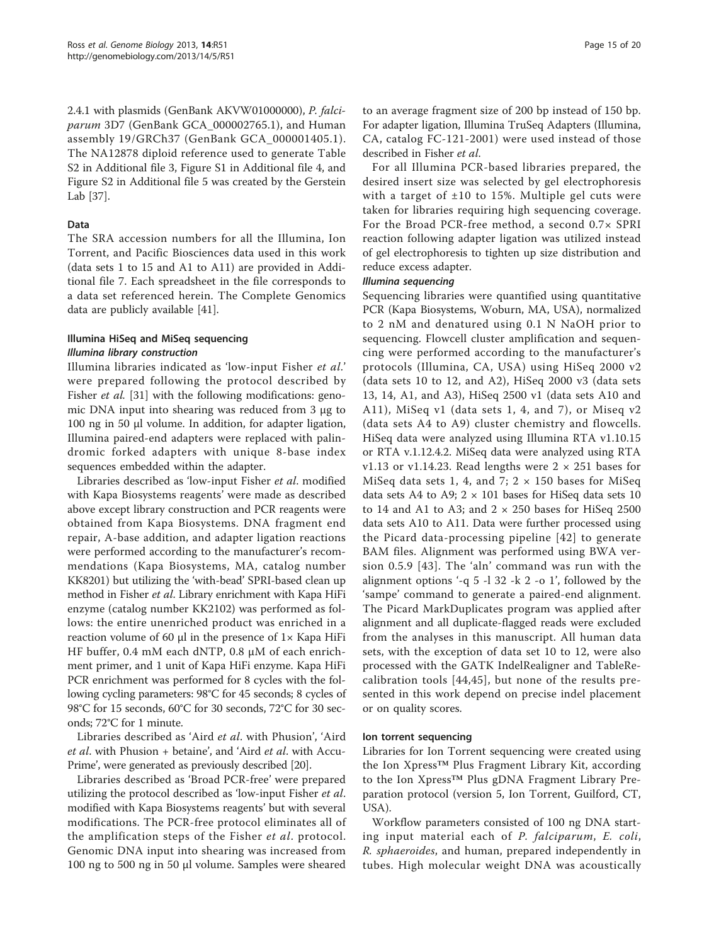2.4.1 with plasmids (GenBank [AKVW01000000](http://www.ncbi.nih.gov/entrez/query.fcgi?db=Nucleotide&cmd=search&term=AKVW01000000)), P. falci-parum 3D7 (GenBank [GCA\\_000002765.1](http://www.ncbi.nih.gov/entrez/query.fcgi?db=Nucleotide&cmd=search&term=GCA_000002765.1)), and Human assembly 19/GRCh37 (GenBank [GCA\\_000001405.1\)](http://www.ncbi.nih.gov/entrez/query.fcgi?db=Nucleotide&cmd=search&term=GCA_000001405.1). The NA12878 diploid reference used to generate Table S2 in Additional file [3,](#page-17-0) Figure S1 in Additional file [4](#page-17-0), and Figure S2 in Additional file [5](#page-17-0) was created by the Gerstein Lab [\[37](#page-18-0)].

# Data

The SRA accession numbers for all the Illumina, Ion Torrent, and Pacific Biosciences data used in this work (data sets 1 to 15 and A1 to A11) are provided in Additional file [7](#page-17-0). Each spreadsheet in the file corresponds to a data set referenced herein. The Complete Genomics data are publicly available [[41\]](#page-18-0).

# Illumina HiSeq and MiSeq sequencing

Illumina libraries indicated as 'low-input Fisher et al.' were prepared following the protocol described by Fisher et al. [[31\]](#page-18-0) with the following modifications: genomic DNA input into shearing was reduced from 3 µg to 100 ng in 50 µl volume. In addition, for adapter ligation, Illumina paired-end adapters were replaced with palindromic forked adapters with unique 8-base index sequences embedded within the adapter.

Libraries described as 'low-input Fisher et al. modified with Kapa Biosystems reagents' were made as described above except library construction and PCR reagents were obtained from Kapa Biosystems. DNA fragment end repair, A-base addition, and adapter ligation reactions were performed according to the manufacturer's recommendations (Kapa Biosystems, MA, catalog number KK8201) but utilizing the 'with-bead' SPRI-based clean up method in Fisher et al. Library enrichment with Kapa HiFi enzyme (catalog number KK2102) was performed as follows: the entire unenriched product was enriched in a reaction volume of 60  $\mu$ l in the presence of 1 $\times$  Kapa HiFi HF buffer, 0.4 mM each dNTP, 0.8 µM of each enrichment primer, and 1 unit of Kapa HiFi enzyme. Kapa HiFi PCR enrichment was performed for 8 cycles with the following cycling parameters: 98°C for 45 seconds; 8 cycles of 98°C for 15 seconds, 60°C for 30 seconds, 72°C for 30 seconds; 72°C for 1 minute.

Libraries described as 'Aird et al. with Phusion', 'Aird et al. with Phusion + betaine', and 'Aird et al. with Accu-Prime', were generated as previously described [\[20\]](#page-18-0).

Libraries described as 'Broad PCR-free' were prepared utilizing the protocol described as 'low-input Fisher et al. modified with Kapa Biosystems reagents' but with several modifications. The PCR-free protocol eliminates all of the amplification steps of the Fisher *et al.* protocol. Genomic DNA input into shearing was increased from 100 ng to 500 ng in 50 µl volume. Samples were sheared to an average fragment size of 200 bp instead of 150 bp. For adapter ligation, Illumina TruSeq Adapters (Illumina, CA, catalog FC-121-2001) were used instead of those described in Fisher et al.

For all Illumina PCR-based libraries prepared, the desired insert size was selected by gel electrophoresis with a target of  $\pm 10$  to 15%. Multiple gel cuts were taken for libraries requiring high sequencing coverage. For the Broad PCR-free method, a second 0.7× SPRI reaction following adapter ligation was utilized instead of gel electrophoresis to tighten up size distribution and reduce excess adapter.

Sequencing libraries were quantified using quantitative PCR (Kapa Biosystems, Woburn, MA, USA), normalized to 2 nM and denatured using 0.1 N NaOH prior to sequencing. Flowcell cluster amplification and sequencing were performed according to the manufacturer's protocols (Illumina, CA, USA) using HiSeq 2000 v2 (data sets 10 to 12, and A2), HiSeq 2000 v3 (data sets 13, 14, A1, and A3), HiSeq 2500 v1 (data sets A10 and A11), MiSeq v1 (data sets 1, 4, and 7), or Miseq v2 (data sets A4 to A9) cluster chemistry and flowcells. HiSeq data were analyzed using Illumina RTA v1.10.15 or RTA v.1.12.4.2. MiSeq data were analyzed using RTA v1.13 or v1.14.23. Read lengths were  $2 \times 251$  bases for MiSeq data sets 1, 4, and 7;  $2 \times 150$  bases for MiSeq data sets A4 to A9;  $2 \times 101$  bases for HiSeq data sets 10 to 14 and A1 to A3; and  $2 \times 250$  bases for HiSeq 2500 data sets A10 to A11. Data were further processed using the Picard data-processing pipeline [[42](#page-18-0)] to generate BAM files. Alignment was performed using BWA version 0.5.9 [[43\]](#page-18-0). The 'aln' command was run with the alignment options '-q 5 -l 32 -k 2 -o 1', followed by the 'sampe' command to generate a paired-end alignment. The Picard MarkDuplicates program was applied after alignment and all duplicate-flagged reads were excluded from the analyses in this manuscript. All human data sets, with the exception of data set 10 to 12, were also processed with the GATK IndelRealigner and TableRecalibration tools [[44,45](#page-18-0)], but none of the results presented in this work depend on precise indel placement or on quality scores.

## Ion torrent sequencing

Libraries for Ion Torrent sequencing were created using the Ion Xpress™ Plus Fragment Library Kit, according to the Ion Xpress™ Plus gDNA Fragment Library Preparation protocol (version 5, Ion Torrent, Guilford, CT, USA).

Workflow parameters consisted of 100 ng DNA starting input material each of P. falciparum, E. coli, R. sphaeroides, and human, prepared independently in tubes. High molecular weight DNA was acoustically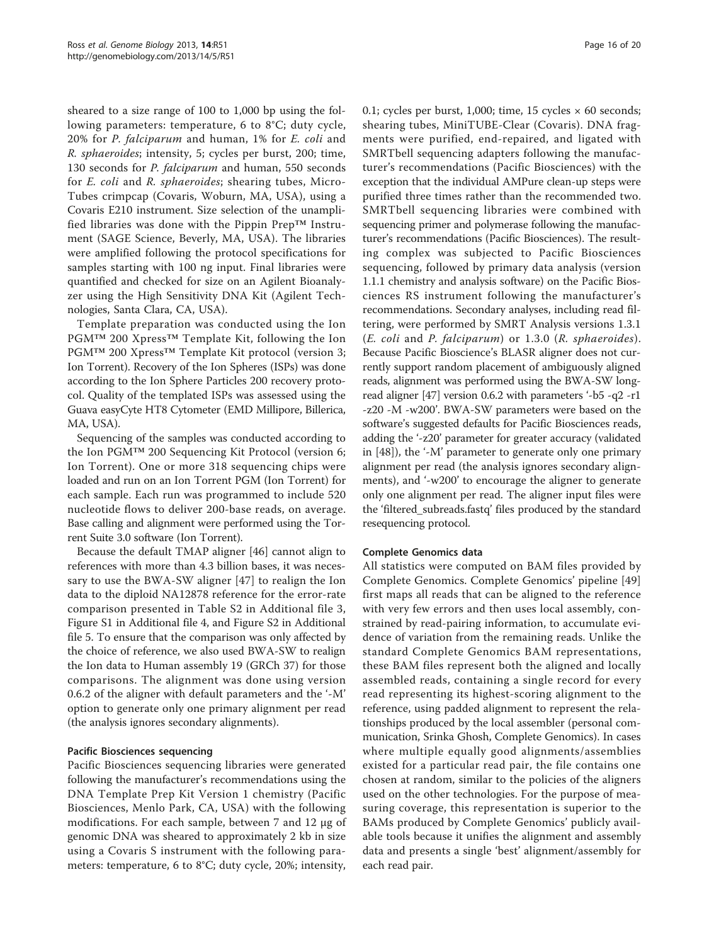sheared to a size range of 100 to 1,000 bp using the following parameters: temperature, 6 to 8°C; duty cycle, 20% for P. falciparum and human, 1% for E. coli and R. sphaeroides; intensity, 5; cycles per burst, 200; time, 130 seconds for P. falciparum and human, 550 seconds for E. coli and R. sphaeroides; shearing tubes, Micro-Tubes crimpcap (Covaris, Woburn, MA, USA), using a Covaris E210 instrument. Size selection of the unamplified libraries was done with the Pippin Prep™ Instrument (SAGE Science, Beverly, MA, USA). The libraries were amplified following the protocol specifications for samples starting with 100 ng input. Final libraries were quantified and checked for size on an Agilent Bioanalyzer using the High Sensitivity DNA Kit (Agilent Technologies, Santa Clara, CA, USA).

Template preparation was conducted using the Ion PGM™ 200 Xpress™ Template Kit, following the Ion PGM™ 200 Xpress™ Template Kit protocol (version 3; Ion Torrent). Recovery of the Ion Spheres (ISPs) was done according to the Ion Sphere Particles 200 recovery protocol. Quality of the templated ISPs was assessed using the Guava easyCyte HT8 Cytometer (EMD Millipore, Billerica, MA, USA).

Sequencing of the samples was conducted according to the Ion PGM™ 200 Sequencing Kit Protocol (version 6; Ion Torrent). One or more 318 sequencing chips were loaded and run on an Ion Torrent PGM (Ion Torrent) for each sample. Each run was programmed to include 520 nucleotide flows to deliver 200-base reads, on average. Base calling and alignment were performed using the Torrent Suite 3.0 software (Ion Torrent).

Because the default TMAP aligner [[46](#page-19-0)] cannot align to references with more than 4.3 billion bases, it was necessary to use the BWA-SW aligner [[47\]](#page-19-0) to realign the Ion data to the diploid NA12878 reference for the error-rate comparison presented in Table S2 in Additional file [3](#page-17-0), Figure S1 in Additional file [4,](#page-17-0) and Figure S2 in Additional file [5.](#page-17-0) To ensure that the comparison was only affected by the choice of reference, we also used BWA-SW to realign the Ion data to Human assembly 19 (GRCh 37) for those comparisons. The alignment was done using version 0.6.2 of the aligner with default parameters and the '-M' option to generate only one primary alignment per read (the analysis ignores secondary alignments).

# Pacific Biosciences sequencing

Pacific Biosciences sequencing libraries were generated following the manufacturer's recommendations using the DNA Template Prep Kit Version 1 chemistry (Pacific Biosciences, Menlo Park, CA, USA) with the following modifications. For each sample, between 7 and 12 µg of genomic DNA was sheared to approximately 2 kb in size using a Covaris S instrument with the following parameters: temperature, 6 to 8°C; duty cycle, 20%; intensity, 0.1; cycles per burst, 1,000; time, 15 cycles  $\times$  60 seconds; shearing tubes, MiniTUBE-Clear (Covaris). DNA fragments were purified, end-repaired, and ligated with SMRTbell sequencing adapters following the manufacturer's recommendations (Pacific Biosciences) with the exception that the individual AMPure clean-up steps were purified three times rather than the recommended two. SMRTbell sequencing libraries were combined with sequencing primer and polymerase following the manufacturer's recommendations (Pacific Biosciences). The resulting complex was subjected to Pacific Biosciences sequencing, followed by primary data analysis (version 1.1.1 chemistry and analysis software) on the Pacific Biosciences RS instrument following the manufacturer's recommendations. Secondary analyses, including read filtering, were performed by SMRT Analysis versions 1.3.1 (E. coli and P. falciparum) or 1.3.0 (R. sphaeroides). Because Pacific Bioscience's BLASR aligner does not currently support random placement of ambiguously aligned reads, alignment was performed using the BWA-SW longread aligner [[47](#page-19-0)] version 0.6.2 with parameters '-b5 -q2 -r1 -z20 -M -w200'. BWA-SW parameters were based on the software's suggested defaults for Pacific Biosciences reads, adding the '-z20' parameter for greater accuracy (validated in [[48\]](#page-19-0)), the '-M' parameter to generate only one primary alignment per read (the analysis ignores secondary alignments), and '-w200' to encourage the aligner to generate only one alignment per read. The aligner input files were the 'filtered\_subreads.fastq' files produced by the standard resequencing protocol.

## Complete Genomics data

All statistics were computed on BAM files provided by Complete Genomics. Complete Genomics' pipeline [\[49](#page-19-0)] first maps all reads that can be aligned to the reference with very few errors and then uses local assembly, constrained by read-pairing information, to accumulate evidence of variation from the remaining reads. Unlike the standard Complete Genomics BAM representations, these BAM files represent both the aligned and locally assembled reads, containing a single record for every read representing its highest-scoring alignment to the reference, using padded alignment to represent the relationships produced by the local assembler (personal communication, Srinka Ghosh, Complete Genomics). In cases where multiple equally good alignments/assemblies existed for a particular read pair, the file contains one chosen at random, similar to the policies of the aligners used on the other technologies. For the purpose of measuring coverage, this representation is superior to the BAMs produced by Complete Genomics' publicly available tools because it unifies the alignment and assembly data and presents a single 'best' alignment/assembly for each read pair.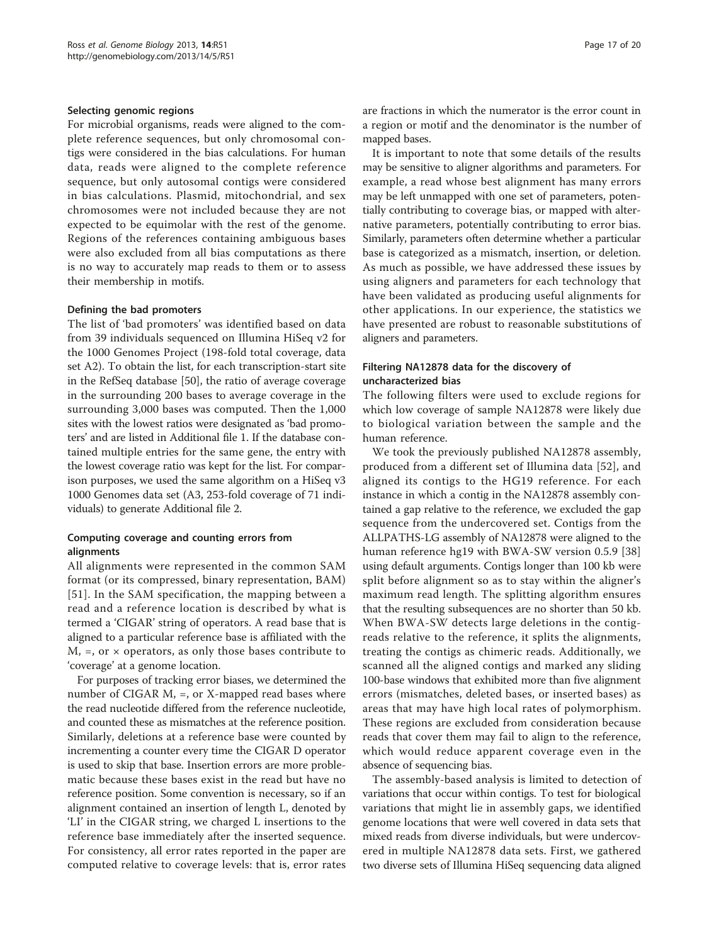### Selecting genomic regions

For microbial organisms, reads were aligned to the complete reference sequences, but only chromosomal contigs were considered in the bias calculations. For human data, reads were aligned to the complete reference sequence, but only autosomal contigs were considered in bias calculations. Plasmid, mitochondrial, and sex chromosomes were not included because they are not expected to be equimolar with the rest of the genome. Regions of the references containing ambiguous bases were also excluded from all bias computations as there is no way to accurately map reads to them or to assess their membership in motifs.

### Defining the bad promoters

The list of 'bad promoters' was identified based on data from 39 individuals sequenced on Illumina HiSeq v2 for the 1000 Genomes Project (198-fold total coverage, data set A2). To obtain the list, for each transcription-start site in the RefSeq database [\[50\]](#page-19-0), the ratio of average coverage in the surrounding 200 bases to average coverage in the surrounding 3,000 bases was computed. Then the 1,000 sites with the lowest ratios were designated as 'bad promoters' and are listed in Additional file [1.](#page-17-0) If the database contained multiple entries for the same gene, the entry with the lowest coverage ratio was kept for the list. For comparison purposes, we used the same algorithm on a HiSeq v3 1000 Genomes data set (A3, 253-fold coverage of 71 individuals) to generate Additional file [2](#page-17-0).

# Computing coverage and counting errors from alignments

All alignments were represented in the common SAM format (or its compressed, binary representation, BAM) [[51](#page-19-0)]. In the SAM specification, the mapping between a read and a reference location is described by what is termed a 'CIGAR' string of operators. A read base that is aligned to a particular reference base is affiliated with the  $M$ , =, or  $\times$  operators, as only those bases contribute to 'coverage' at a genome location.

For purposes of tracking error biases, we determined the number of CIGAR M, =, or X-mapped read bases where the read nucleotide differed from the reference nucleotide, and counted these as mismatches at the reference position. Similarly, deletions at a reference base were counted by incrementing a counter every time the CIGAR D operator is used to skip that base. Insertion errors are more problematic because these bases exist in the read but have no reference position. Some convention is necessary, so if an alignment contained an insertion of length L, denoted by 'LI' in the CIGAR string, we charged L insertions to the reference base immediately after the inserted sequence. For consistency, all error rates reported in the paper are computed relative to coverage levels: that is, error rates are fractions in which the numerator is the error count in a region or motif and the denominator is the number of mapped bases.

It is important to note that some details of the results may be sensitive to aligner algorithms and parameters. For example, a read whose best alignment has many errors may be left unmapped with one set of parameters, potentially contributing to coverage bias, or mapped with alternative parameters, potentially contributing to error bias. Similarly, parameters often determine whether a particular base is categorized as a mismatch, insertion, or deletion. As much as possible, we have addressed these issues by using aligners and parameters for each technology that have been validated as producing useful alignments for other applications. In our experience, the statistics we have presented are robust to reasonable substitutions of aligners and parameters.

# Filtering NA12878 data for the discovery of uncharacterized bias

The following filters were used to exclude regions for which low coverage of sample NA12878 were likely due to biological variation between the sample and the human reference.

We took the previously published NA12878 assembly, produced from a different set of Illumina data [[52\]](#page-19-0), and aligned its contigs to the HG19 reference. For each instance in which a contig in the NA12878 assembly contained a gap relative to the reference, we excluded the gap sequence from the undercovered set. Contigs from the ALLPATHS-LG assembly of NA12878 were aligned to the human reference hg19 with BWA-SW version 0.5.9 [\[38](#page-18-0)] using default arguments. Contigs longer than 100 kb were split before alignment so as to stay within the aligner's maximum read length. The splitting algorithm ensures that the resulting subsequences are no shorter than 50 kb. When BWA-SW detects large deletions in the contigreads relative to the reference, it splits the alignments, treating the contigs as chimeric reads. Additionally, we scanned all the aligned contigs and marked any sliding 100-base windows that exhibited more than five alignment errors (mismatches, deleted bases, or inserted bases) as areas that may have high local rates of polymorphism. These regions are excluded from consideration because reads that cover them may fail to align to the reference, which would reduce apparent coverage even in the absence of sequencing bias.

The assembly-based analysis is limited to detection of variations that occur within contigs. To test for biological variations that might lie in assembly gaps, we identified genome locations that were well covered in data sets that mixed reads from diverse individuals, but were undercovered in multiple NA12878 data sets. First, we gathered two diverse sets of Illumina HiSeq sequencing data aligned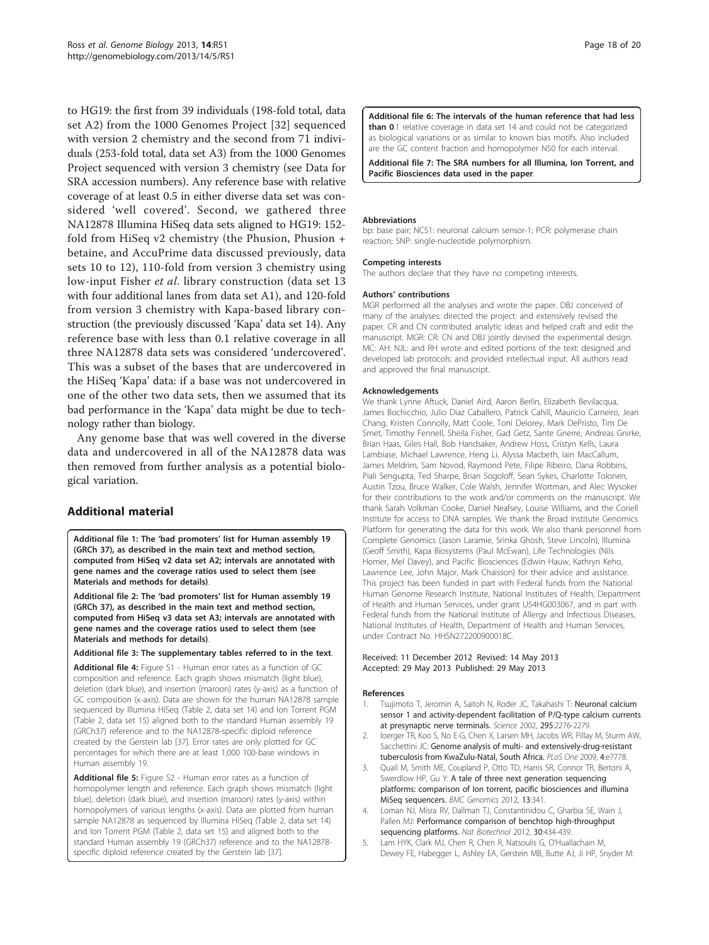<span id="page-17-0"></span>to HG19: the first from 39 individuals (198-fold total, data set A2) from the 1000 Genomes Project [[32\]](#page-18-0) sequenced with version 2 chemistry and the second from 71 individuals (253-fold total, data set A3) from the 1000 Genomes Project sequenced with version 3 chemistry (see Data for SRA accession numbers). Any reference base with relative coverage of at least 0.5 in either diverse data set was considered 'well covered'. Second, we gathered three NA12878 Illumina HiSeq data sets aligned to HG19: 152 fold from HiSeq v2 chemistry (the Phusion, Phusion + betaine, and AccuPrime data discussed previously, data sets 10 to 12), 110-fold from version 3 chemistry using low-input Fisher et al. library construction (data set 13 with four additional lanes from data set A1), and 120-fold from version 3 chemistry with Kapa-based library construction (the previously discussed 'Kapa' data set 14). Any reference base with less than 0.1 relative coverage in all three NA12878 data sets was considered 'undercovered'. This was a subset of the bases that are undercovered in the HiSeq 'Kapa' data: if a base was not undercovered in one of the other two data sets, then we assumed that its bad performance in the 'Kapa' data might be due to technology rather than biology.

Any genome base that was well covered in the diverse data and undercovered in all of the NA12878 data was then removed from further analysis as a potential biological variation.

# Additional material

[Additional file 1: T](http://www.biomedcentral.com/content/supplementary/gb-2013-14-5-r51-S1.TXT)he 'bad promoters' list for Human assembly 19 (GRCh 37), as described in the main text and method section, computed from HiSeq v2 data set A2; intervals are annotated with gene names and the coverage ratios used to select them (see Materials and methods for details).

[Additional file 2: T](http://www.biomedcentral.com/content/supplementary/gb-2013-14-5-r51-S2.TXT)he 'bad promoters' list for Human assembly 19 (GRCh 37), as described in the main text and method section, computed from HiSeq v3 data set A3; intervals are annotated with gene names and the coverage ratios used to select them (see Materials and methods for details).

[Additional file 3: T](http://www.biomedcentral.com/content/supplementary/gb-2013-14-5-r51-S3.DOCX)he supplementary tables referred to in the text.

[Additional file 4:](http://www.biomedcentral.com/content/supplementary/gb-2013-14-5-r51-S4.PDF) Figure S1 - Human error rates as a function of GC composition and reference. Each graph shows mismatch (light blue), deletion (dark blue), and insertion (maroon) rates (y-axis) as a function of GC composition (x-axis). Data are shown for the human NA12878 sample sequenced by Illumina HiSeq (Table [2,](#page-5-0) data set 14) and Ion Torrent PGM (Table [2,](#page-5-0) data set 15) aligned both to the standard Human assembly 19 (GRCh37) reference and to the NA12878-specific diploid reference created by the Gerstein lab [\[37](#page-18-0)]. Error rates are only plotted for GC percentages for which there are at least 1,000 100-base windows in Human assembly 19.

[Additional file 5:](http://www.biomedcentral.com/content/supplementary/gb-2013-14-5-r51-S5.PDF) Figure S2 - Human error rates as a function of homopolymer length and reference. Each graph shows mismatch (light blue), deletion (dark blue), and insertion (maroon) rates (y-axis) within homopolymers of various lengths (x-axis). Data are plotted from human sample NA12878 as sequenced by Illumina HiSeq (Table [2,](#page-5-0) data set 14) and Ion Torrent PGM (Table [2](#page-5-0), data set 15) and aligned both to the standard Human assembly 19 (GRCh37) reference and to the NA12878 specific diploid reference created by the Gerstein lab [\[37](#page-18-0)].

[Additional file 6: T](http://www.biomedcentral.com/content/supplementary/gb-2013-14-5-r51-S6.CSV)he intervals of the human reference that had less than 0.1 relative coverage in data set 14 and could not be categorized as biological variations or as similar to known bias motifs. Also included are the GC content fraction and homopolymer N50 for each interval.

[Additional file 7: T](http://www.biomedcentral.com/content/supplementary/gb-2013-14-5-r51-S7.XLSX)he SRA numbers for all Illumina, Ion Torrent, and Pacific Biosciences data used in the paper.

### Abbreviations

bp: base pair; NCS1: neuronal calcium sensor-1; PCR: polymerase chain reaction; SNP: single-nucleotide polymorphism.

### Competing interests

The authors declare that they have no competing interests.

### Authors' contributions

MGR performed all the analyses and wrote the paper. DBJ conceived of many of the analyses: directed the project: and extensively revised the paper. CR and CN contributed analytic ideas and helped craft and edit the manuscript. MGR: CR: CN and DBJ jointly devised the experimental design. MC: AH: NJL: and RH wrote and edited portions of the text: designed and developed lab protocols: and provided intellectual input. All authors read and approved the final manuscript.

### Acknowledgements

We thank Lynne Aftuck, Daniel Aird, Aaron Berlin, Elizabeth Bevilacqua, James Bochicchio, Julio Diaz Caballero, Patrick Cahill, Mauricio Carneiro, Jean Chang, Kristen Connolly, Matt Coole, Toni Delorey, Mark DePristo, Tim De Smet, Timothy Fennell, Sheila Fisher, Gad Getz, Sante Gnerre, Andreas Gnirke, Brian Haas, Giles Hall, Bob Handsaker, Andrew Hoss, Cristyn Kells, Laura Lambiase, Michael Lawrence, Heng Li, Alyssa Macbeth, Iain MacCallum, James Meldrim, Sam Novod, Raymond Pete, Filipe Ribeiro, Dana Robbins, Piali Sengupta, Ted Sharpe, Brian Sogoloff, Sean Sykes, Charlotte Tolonen, Austin Tzou, Bruce Walker, Cole Walsh, Jennifer Wortman, and Alec Wysoker for their contributions to the work and/or comments on the manuscript. We thank Sarah Volkman Cooke, Daniel Neafsey, Louise Williams, and the Coriell Institute for access to DNA samples. We thank the Broad Institute Genomics Platform for generating the data for this work. We also thank personnel from Complete Genomics (Jason Laramie, Srinka Ghosh, Steve Lincoln), Illumina (Geoff Smith), Kapa Biosystems (Paul McEwan), Life Technologies (Nils Homer, Mel Davey), and Pacific Biosciences (Edwin Hauw, Kathryn Keho, Lawrence Lee, John Major, Mark Chaisson) for their advice and assistance. This project has been funded in part with Federal funds from the National Human Genome Research Institute, National Institutes of Health, Department of Health and Human Services, under grant U54HG003067, and in part with Federal funds from the National Institute of Allergy and Infectious Diseases, National Institutes of Health, Department of Health and Human Services, under Contract No. HHSN272200900018C.

### Received: 11 December 2012 Revised: 14 May 2013 Accepted: 29 May 2013 Published: 29 May 2013

### References

- Tsujimoto T, Jeromin A, Saitoh N, Roder JC, Takahashi T: [Neuronal calcium](http://www.ncbi.nlm.nih.gov/pubmed/11910115?dopt=Abstract) [sensor 1 and activity-dependent facilitation of P/Q-type calcium currents](http://www.ncbi.nlm.nih.gov/pubmed/11910115?dopt=Abstract) [at presynaptic nerve terminals.](http://www.ncbi.nlm.nih.gov/pubmed/11910115?dopt=Abstract) Science 2002, 295:2276-2279.
- loerger TR, Koo S, No E-G, Chen X, Larsen MH, Jacobs WR, Pillay M, Sturm AW, Sacchettini JC: [Genome analysis of multi- and extensively-drug-resistant](http://www.ncbi.nlm.nih.gov/pubmed/19890396?dopt=Abstract) [tuberculosis from KwaZulu-Natal, South Africa.](http://www.ncbi.nlm.nih.gov/pubmed/19890396?dopt=Abstract) PLoS One 2009, 4:e7778.
- 3. Quail M, Smith ME, Coupland P, Otto TD, Harris SR, Connor TR, Bertoni A, Swerdlow HP, Gu Y: [A tale of three next generation sequencing](http://www.ncbi.nlm.nih.gov/pubmed/22827831?dopt=Abstract) [platforms: comparison of Ion torrent, pacific biosciences and illumina](http://www.ncbi.nlm.nih.gov/pubmed/22827831?dopt=Abstract) [MiSeq sequencers.](http://www.ncbi.nlm.nih.gov/pubmed/22827831?dopt=Abstract) BMC Genomics 2012, 13:341.
- 4. Loman NJ, Misra RV, Dallman TJ, Constantinidou C, Gharbia SE, Wain J, Pallen MJ: [Performance comparison of benchtop high-throughput](http://www.ncbi.nlm.nih.gov/pubmed/22522955?dopt=Abstract) [sequencing platforms.](http://www.ncbi.nlm.nih.gov/pubmed/22522955?dopt=Abstract) Nat Biotechnol 2012, 30:434-439.
- 5. Lam HYK, Clark MJ, Chen R, Chen R, Natsoulis G, O'Huallachain M, Dewey FE, Habegger L, Ashley EA, Gerstein MB, Butte AJ, Ji HP, Snyder M: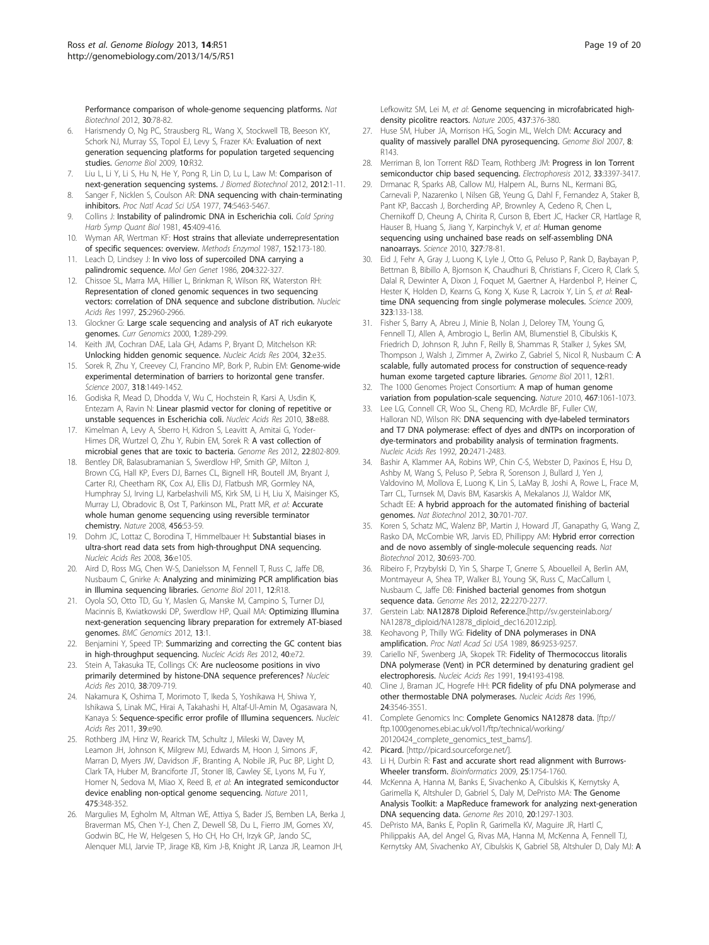<span id="page-18-0"></span>Performance comparison of whole-genome sequencing platforms. Nat Biotechnol 2012, 30:78-82.

- 6. Harismendy O, Ng PC, Strausberg RL, Wang X, Stockwell TB, Beeson KY, Schork NJ, Murray SS, Topol EJ, Levy S, Frazer KA: [Evaluation of next](http://www.ncbi.nlm.nih.gov/pubmed/19327155?dopt=Abstract) [generation sequencing platforms for population targeted sequencing](http://www.ncbi.nlm.nih.gov/pubmed/19327155?dopt=Abstract) [studies.](http://www.ncbi.nlm.nih.gov/pubmed/19327155?dopt=Abstract) Genome Biol 2009, 10:R32.
- 7. Liu L, Li Y, Li S, Hu N, He Y, Pong R, Lin D, Lu L, Law M: [Comparison of](http://www.ncbi.nlm.nih.gov/pubmed/21836813?dopt=Abstract) [next-generation sequencing systems.](http://www.ncbi.nlm.nih.gov/pubmed/21836813?dopt=Abstract) J Biomed Biotechnol 2012, 2012:1-11.
- 8. Sanger F, Nicklen S, Coulson AR: [DNA sequencing with chain-terminating](http://www.ncbi.nlm.nih.gov/pubmed/271968?dopt=Abstract) [inhibitors.](http://www.ncbi.nlm.nih.gov/pubmed/271968?dopt=Abstract) Proc Natl Acad Sci USA 1977, 74:5463-5467.
- 9. Collins J: [Instability of palindromic DNA in Escherichia coli.](http://www.ncbi.nlm.nih.gov/pubmed/6271486?dopt=Abstract) Cold Spring Harb Symp Quant Biol 1981, 45:409-416.
- 10. Wyman AR, Wertman KF: [Host strains that alleviate underrepresentation](http://www.ncbi.nlm.nih.gov/pubmed/2958677?dopt=Abstract) [of specific sequences: overview.](http://www.ncbi.nlm.nih.gov/pubmed/2958677?dopt=Abstract) Methods Enzymol 1987, 152:173-180.
- 11. Leach D, Lindsey J: [In vivo loss of supercoiled DNA carrying a](http://www.ncbi.nlm.nih.gov/pubmed/2945078?dopt=Abstract) [palindromic sequence.](http://www.ncbi.nlm.nih.gov/pubmed/2945078?dopt=Abstract) Mol Gen Genet 1986, 204:322-327.
- 12. Chissoe SL, Marra MA, Hillier L, Brinkman R, Wilson RK, Waterston RH: [Representation of cloned genomic sequences in two sequencing](http://www.ncbi.nlm.nih.gov/pubmed/9224593?dopt=Abstract) [vectors: correlation of DNA sequence and subclone distribution.](http://www.ncbi.nlm.nih.gov/pubmed/9224593?dopt=Abstract) Nucleic Acids Res 1997, 25:2960-2966.
- 13. Glockner G: Large scale sequencing and analysis of AT rich eukaryote genomes. Curr Genomics 2000, 1:289-299.
- 14. Keith JM, Cochran DAE, Lala GH, Adams P, Bryant D, Mitchelson KR: [Unlocking hidden genomic sequence.](http://www.ncbi.nlm.nih.gov/pubmed/14973330?dopt=Abstract) Nucleic Acids Res 2004, 32:e35.
- 15. Sorek R, Zhu Y, Creevey CJ, Francino MP, Bork P, Rubin EM: [Genome-wide](http://www.ncbi.nlm.nih.gov/pubmed/17947550?dopt=Abstract) [experimental determination of barriers to horizontal gene transfer.](http://www.ncbi.nlm.nih.gov/pubmed/17947550?dopt=Abstract) Science 2007, 318:1449-1452.
- 16. Godiska R, Mead D, Dhodda V, Wu C, Hochstein R, Karsi A, Usdin K, Entezam A, Ravin N: [Linear plasmid vector for cloning of repetitive or](http://www.ncbi.nlm.nih.gov/pubmed/20040575?dopt=Abstract) [unstable sequences in Escherichia coli.](http://www.ncbi.nlm.nih.gov/pubmed/20040575?dopt=Abstract) Nucleic Acids Res 2010, 38:e88.
- 17. Kimelman A, Levy A, Sberro H, Kidron S, Leavitt A, Amitai G, Yoder-Himes DR, Wurtzel O, Zhu Y, Rubin EM, Sorek R: [A vast collection of](http://www.ncbi.nlm.nih.gov/pubmed/22300632?dopt=Abstract) [microbial genes that are toxic to bacteria.](http://www.ncbi.nlm.nih.gov/pubmed/22300632?dopt=Abstract) Genome Res 2012, 22:802-809.
- 18. Bentley DR, Balasubramanian S, Swerdlow HP, Smith GP, Milton J, Brown CG, Hall KP, Evers DJ, Barnes CL, Bignell HR, Boutell JM, Bryant J, Carter RJ, Cheetham RK, Cox AJ, Ellis DJ, Flatbush MR, Gormley NA, Humphray SJ, Irving LJ, Karbelashvili MS, Kirk SM, Li H, Liu X, Maisinger KS, Murray LJ, Obradovic B, Ost T, Parkinson ML, Pratt MR, et al: [Accurate](http://www.ncbi.nlm.nih.gov/pubmed/18987734?dopt=Abstract) [whole human genome sequencing using reversible terminator](http://www.ncbi.nlm.nih.gov/pubmed/18987734?dopt=Abstract) [chemistry.](http://www.ncbi.nlm.nih.gov/pubmed/18987734?dopt=Abstract) Nature 2008, 456:53-59.
- 19. Dohm JC, Lottaz C, Borodina T, Himmelbauer H: [Substantial biases in](http://www.ncbi.nlm.nih.gov/pubmed/18660515?dopt=Abstract) [ultra-short read data sets from high-throughput DNA sequencing.](http://www.ncbi.nlm.nih.gov/pubmed/18660515?dopt=Abstract) Nucleic Acids Res 2008, 36:e105.
- 20. Aird D, Ross MG, Chen W-S, Danielsson M, Fennell T, Russ C, Jaffe DB, Nusbaum C, Gnirke A: [Analyzing and minimizing PCR amplification bias](http://www.ncbi.nlm.nih.gov/pubmed/21338519?dopt=Abstract) [in Illumina sequencing libraries.](http://www.ncbi.nlm.nih.gov/pubmed/21338519?dopt=Abstract) Genome Biol 2011, 12:R18.
- 21. Oyola SO, Otto TD, Gu Y, Maslen G, Manske M, Campino S, Turner DJ, Macinnis B, Kwiatkowski DP, Swerdlow HP, Quail MA: [Optimizing Illumina](http://www.ncbi.nlm.nih.gov/pubmed/22214261?dopt=Abstract) [next-generation sequencing library preparation for extremely AT-biased](http://www.ncbi.nlm.nih.gov/pubmed/22214261?dopt=Abstract) [genomes.](http://www.ncbi.nlm.nih.gov/pubmed/22214261?dopt=Abstract) BMC Genomics 2012, 13:1.
- 22. Benjamini Y, Speed TP: [Summarizing and correcting the GC content bias](http://www.ncbi.nlm.nih.gov/pubmed/22323520?dopt=Abstract) [in high-throughput sequencing.](http://www.ncbi.nlm.nih.gov/pubmed/22323520?dopt=Abstract) Nucleic Acids Res 2012, 40:e72.
- 23. Stein A, Takasuka TE, Collings CK: [Are nucleosome positions in vivo](http://www.ncbi.nlm.nih.gov/pubmed/19934265?dopt=Abstract) [primarily determined by histone-DNA sequence preferences?](http://www.ncbi.nlm.nih.gov/pubmed/19934265?dopt=Abstract) Nucleic Acids Res 2010, 38:709-719.
- 24. Nakamura K, Oshima T, Morimoto T, Ikeda S, Yoshikawa H, Shiwa Y, Ishikawa S, Linak MC, Hirai A, Takahashi H, Altaf-Ul-Amin M, Ogasawara N, Kanaya S: [Sequence-specific error profile of Illumina sequencers.](http://www.ncbi.nlm.nih.gov/pubmed/21576222?dopt=Abstract) Nucleic Acids Res 2011, 39:e90.
- 25. Rothberg JM, Hinz W, Rearick TM, Schultz J, Mileski W, Davey M, Leamon JH, Johnson K, Milgrew MJ, Edwards M, Hoon J, Simons JF, Marran D, Myers JW, Davidson JF, Branting A, Nobile JR, Puc BP, Light D, Clark TA, Huber M, Branciforte JT, Stoner IB, Cawley SE, Lyons M, Fu Y, Homer N, Sedova M, Miao X, Reed B, et al: [An integrated semiconductor](http://www.ncbi.nlm.nih.gov/pubmed/21776081?dopt=Abstract) [device enabling non-optical genome sequencing.](http://www.ncbi.nlm.nih.gov/pubmed/21776081?dopt=Abstract) Nature 2011, 475:348-352.
- 26. Margulies M, Egholm M, Altman WE, Attiya S, Bader JS, Bemben LA, Berka J, Braverman MS, Chen Y-J, Chen Z, Dewell SB, Du L, Fierro JM, Gomes XV, Godwin BC, He W, Helgesen S, Ho CH, Ho CH, Irzyk GP, Jando SC, Alenquer MLI, Jarvie TP, Jirage KB, Kim J-B, Knight JR, Lanza JR, Leamon JH,

Lefkowitz SM, Lei M, et al: [Genome sequencing in microfabricated high](http://www.ncbi.nlm.nih.gov/pubmed/16056220?dopt=Abstract)[density picolitre reactors.](http://www.ncbi.nlm.nih.gov/pubmed/16056220?dopt=Abstract) Nature 2005, 437:376-380.

- 27. Huse SM, Huber JA, Morrison HG, Sogin ML, Welch DM: [Accuracy and](http://www.ncbi.nlm.nih.gov/pubmed/17659080?dopt=Abstract) [quality of massively parallel DNA pyrosequencing.](http://www.ncbi.nlm.nih.gov/pubmed/17659080?dopt=Abstract) Genome Biol 2007, 8: R143.
- 28. Merriman B, Ion Torrent R&D Team, Rothberg JM: [Progress in Ion Torrent](http://www.ncbi.nlm.nih.gov/pubmed/23208921?dopt=Abstract) [semiconductor chip based sequencing.](http://www.ncbi.nlm.nih.gov/pubmed/23208921?dopt=Abstract) Electrophoresis 2012, 33:3397-3417.
- 29. Drmanac R, Sparks AB, Callow MJ, Halpern AL, Burns NL, Kermani BG, Carnevali P, Nazarenko I, Nilsen GB, Yeung G, Dahl F, Fernandez A, Staker B, Pant KP, Baccash J, Borcherding AP, Brownley A, Cedeno R, Chen L, Chernikoff D, Cheung A, Chirita R, Curson B, Ebert JC, Hacker CR, Hartlage R, Hauser B, Huang S, Jiang Y, Karpinchyk V, et al: [Human genome](http://www.ncbi.nlm.nih.gov/pubmed/19892942?dopt=Abstract) [sequencing using unchained base reads on self-assembling DNA](http://www.ncbi.nlm.nih.gov/pubmed/19892942?dopt=Abstract) [nanoarrays.](http://www.ncbi.nlm.nih.gov/pubmed/19892942?dopt=Abstract) Science 2010, 327:78-81.
- 30. Eid J, Fehr A, Gray J, Luong K, Lyle J, Otto G, Peluso P, Rank D, Baybayan P, Bettman B, Bibillo A, Bjornson K, Chaudhuri B, Christians F, Cicero R, Clark S, Dalal R, Dewinter A, Dixon J, Foquet M, Gaertner A, Hardenbol P, Heiner C, Hester K, Holden D, Kearns G, Kong X, Kuse R, Lacroix Y, Lin S, et al: [Real-](http://www.ncbi.nlm.nih.gov/pubmed/19023044?dopt=Abstract)time [DNA sequencing from single polymerase molecules.](http://www.ncbi.nlm.nih.gov/pubmed/19023044?dopt=Abstract) Science 2009, 323:133-138.
- 31. Fisher S, Barry A, Abreu J, Minie B, Nolan J, Delorey TM, Young G, Fennell TJ, Allen A, Ambrogio L, Berlin AM, Blumenstiel B, Cibulskis K, Friedrich D, Johnson R, Juhn F, Reilly B, Shammas R, Stalker J, Sykes SM, Thompson J, Walsh J, Zimmer A, Zwirko Z, Gabriel S, Nicol R, Nusbaum C: [A](http://www.ncbi.nlm.nih.gov/pubmed/21205303?dopt=Abstract) [scalable, fully automated process for construction of sequence-ready](http://www.ncbi.nlm.nih.gov/pubmed/21205303?dopt=Abstract) [human exome targeted capture libraries.](http://www.ncbi.nlm.nih.gov/pubmed/21205303?dopt=Abstract) Genome Biol 2011, 12:R1.
- 32. The 1000 Genomes Project Consortium: [A map of human genome](http://www.ncbi.nlm.nih.gov/pubmed/20981092?dopt=Abstract) [variation from population-scale sequencing.](http://www.ncbi.nlm.nih.gov/pubmed/20981092?dopt=Abstract) Nature 2010, 467:1061-1073.
- 33. Lee LG, Connell CR, Woo SL, Cheng RD, McArdle BF, Fuller CW, Halloran ND, Wilson RK: [DNA sequencing with dye-labeled terminators](http://www.ncbi.nlm.nih.gov/pubmed/1598205?dopt=Abstract) [and T7 DNA polymerase: effect of dyes and dNTPs on incorporation of](http://www.ncbi.nlm.nih.gov/pubmed/1598205?dopt=Abstract) [dye-terminators and probability analysis of termination fragments.](http://www.ncbi.nlm.nih.gov/pubmed/1598205?dopt=Abstract) Nucleic Acids Res 1992, 20:2471-2483.
- 34. Bashir A, Klammer AA, Robins WP, Chin C-S, Webster D, Paxinos E, Hsu D, Ashby M, Wang S, Peluso P, Sebra R, Sorenson J, Bullard J, Yen J, Valdovino M, Mollova E, Luong K, Lin S, LaMay B, Joshi A, Rowe L, Frace M, Tarr CL, Turnsek M, Davis BM, Kasarskis A, Mekalanos JJ, Waldor MK, Schadt EE: [A hybrid approach for the automated finishing of bacterial](http://www.ncbi.nlm.nih.gov/pubmed/22750883?dopt=Abstract) [genomes.](http://www.ncbi.nlm.nih.gov/pubmed/22750883?dopt=Abstract) Nat Biotechnol 2012, 30:701-707.
- 35. Koren S, Schatz MC, Walenz BP, Martin J, Howard JT, Ganapathy G, Wang Z, Rasko DA, McCombie WR, Jarvis ED, Phillippy AM: [Hybrid error correction](http://www.ncbi.nlm.nih.gov/pubmed/22750884?dopt=Abstract) [and de novo assembly of single-molecule sequencing reads.](http://www.ncbi.nlm.nih.gov/pubmed/22750884?dopt=Abstract) Nat Biotechnol 2012, 30:693-700.
- 36. Ribeiro F, Przybylski D, Yin S, Sharpe T, Gnerre S, Abouelleil A, Berlin AM, Montmayeur A, Shea TP, Walker BJ, Young SK, Russ C, MacCallum I, Nusbaum C, Jaffe DB: [Finished bacterial genomes from shotgun](http://www.ncbi.nlm.nih.gov/pubmed/22829535?dopt=Abstract) [sequence data.](http://www.ncbi.nlm.nih.gov/pubmed/22829535?dopt=Abstract) Genome Res 2012, 22:2270-2277.
- 37. Gerstein Lab: NA12878 Diploid Reference.[[http://sv.gersteinlab.org/](http://sv.gersteinlab.org/NA12878_diploid/NA12878_diploid_dec16.2012.zip) [NA12878\\_diploid/NA12878\\_diploid\\_dec16.2012.zip\]](http://sv.gersteinlab.org/NA12878_diploid/NA12878_diploid_dec16.2012.zip).
- Keohavong P, Thilly WG: [Fidelity of DNA polymerases in DNA](http://www.ncbi.nlm.nih.gov/pubmed/2594764?dopt=Abstract) [amplification.](http://www.ncbi.nlm.nih.gov/pubmed/2594764?dopt=Abstract) Proc Natl Acad Sci USA 1989, 86:9253-9257.
- 39. Cariello NF, Swenberg JA, Skopek TR: [Fidelity of Thermococcus litoralis](http://www.ncbi.nlm.nih.gov/pubmed/1870973?dopt=Abstract) [DNA polymerase \(Vent\) in PCR determined by denaturing gradient gel](http://www.ncbi.nlm.nih.gov/pubmed/1870973?dopt=Abstract) [electrophoresis.](http://www.ncbi.nlm.nih.gov/pubmed/1870973?dopt=Abstract) Nucleic Acids Res 1991, 19:4193-4198.
- 40. Cline J, Braman JC, Hogrefe HH: [PCR fidelity of pfu DNA polymerase and](http://www.ncbi.nlm.nih.gov/pubmed/8836181?dopt=Abstract) [other thermostable DNA polymerases.](http://www.ncbi.nlm.nih.gov/pubmed/8836181?dopt=Abstract) Nucleic Acids Res 1996, 24:3546-3551.
- 41. Complete Genomics Inc: Complete Genomics NA12878 data. [\[ftp://](ftp://ftp.1000genomes.ebi.ac.uk/vol1/ftp/technical/working/20120424_complete_genomics_test_bams/) [ftp.1000genomes.ebi.ac.uk/vol1/ftp/technical/working/](ftp://ftp.1000genomes.ebi.ac.uk/vol1/ftp/technical/working/20120424_complete_genomics_test_bams/) [20120424\\_complete\\_genomics\\_test\\_bams/\]](ftp://ftp.1000genomes.ebi.ac.uk/vol1/ftp/technical/working/20120424_complete_genomics_test_bams/).
- 42. Picard. [[http://picard.sourceforge.net/\]](http://picard.sourceforge.net/).
- 43. Li H, Durbin R: [Fast and accurate short read alignment with Burrows-](http://www.ncbi.nlm.nih.gov/pubmed/19451168?dopt=Abstract)[Wheeler transform.](http://www.ncbi.nlm.nih.gov/pubmed/19451168?dopt=Abstract) Bioinformatics 2009, 25:1754-1760.
- 44. McKenna A, Hanna M, Banks E, Sivachenko A, Cibulskis K, Kernytsky A, Garimella K, Altshuler D, Gabriel S, Daly M, DePristo MA: [The Genome](http://www.ncbi.nlm.nih.gov/pubmed/20644199?dopt=Abstract) [Analysis Toolkit: a MapReduce framework for analyzing next-generation](http://www.ncbi.nlm.nih.gov/pubmed/20644199?dopt=Abstract) [DNA sequencing data.](http://www.ncbi.nlm.nih.gov/pubmed/20644199?dopt=Abstract) Genome Res 2010, 20:1297-1303.
- 45. DePristo MA, Banks E, Poplin R, Garimella KV, Maguire JR, Hartl C, Philippakis AA, del Angel G, Rivas MA, Hanna M, McKenna A, Fennell TJ, Kernytsky AM, Sivachenko AY, Cibulskis K, Gabriel SB, Altshuler D, Daly MJ: [A](http://www.ncbi.nlm.nih.gov/pubmed/21478889?dopt=Abstract)